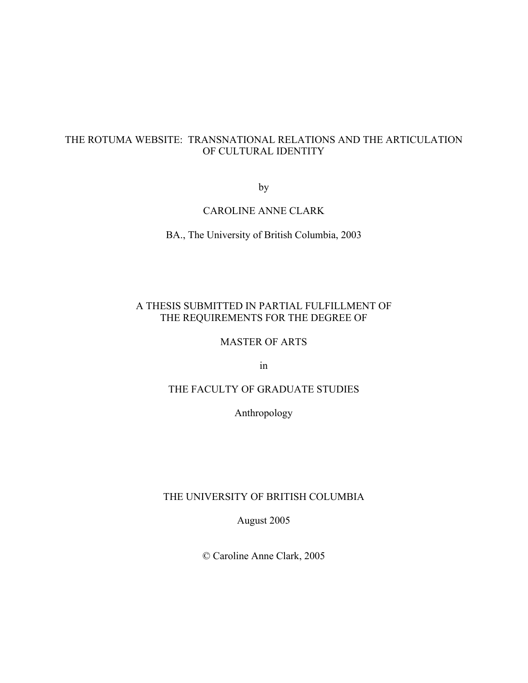# THE ROTUMA WEBSITE: TRANSNATIONAL RELATIONS AND THE ARTICULATION OF CULTURAL IDENTITY

by

# CAROLINE ANNE CLARK

BA., The University of British Columbia, 2003

# A THESIS SUBMITTED IN PARTIAL FULFILLMENT OF THE REQUIREMENTS FOR THE DEGREE OF

# MASTER OF ARTS

in

# THE FACULTY OF GRADUATE STUDIES

Anthropology

## THE UNIVERSITY OF BRITISH COLUMBIA

August 2005

© Caroline Anne Clark, 2005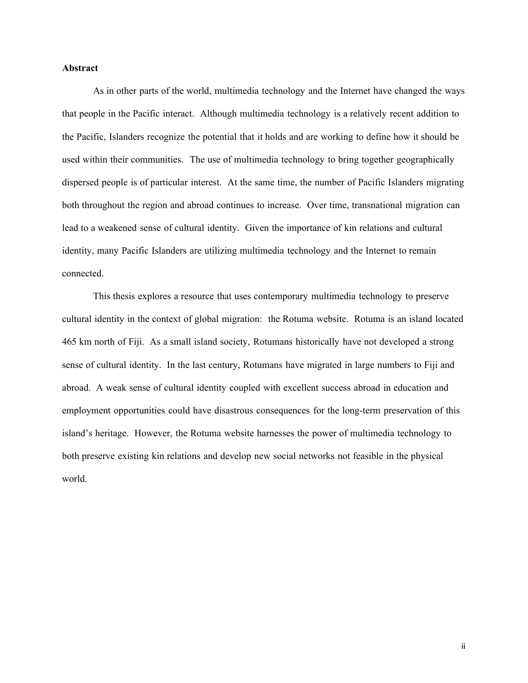#### Abstract

As in other parts of the world, multimedia technology and the Internet have changed the ways that people in the Pacific interact. Although multimedia technology is a relatively recent addition to the Pacific, Islanders recognize the potential that it holds and are working to define how it should be used within their communities. The use of multimedia technology to bring together geographically dispersed people is of particular interest. At the same time, the number of Pacific Islanders migrating both throughout the region and abroad continues to increase. Over time, transnational migration can lead to a weakened sense of cultural identity. Given the importance of kin relations and cultural identity, many Pacific Islanders are utilizing multimedia technology and the Internet to remain connected.

This thesis explores a resource that uses contemporary multimedia technology to preserve cultural identity in the context of global migration: the Rotuma website. Rotuma is an island located 465 km north of Fiji. As a small island society, Rotumans historically have not developed a strong sense of cultural identity. In the last century, Rotumans have migrated in large numbers to Fiji and abroad. A weak sense of cultural identity coupled with excellent success abroad in education and employment opportunities could have disastrous consequences for the long-term preservation of this island's heritage. However, the Rotuma website harnesses the power of multimedia technology to both preserve existing kin relations and develop new social networks not feasible in the physical world.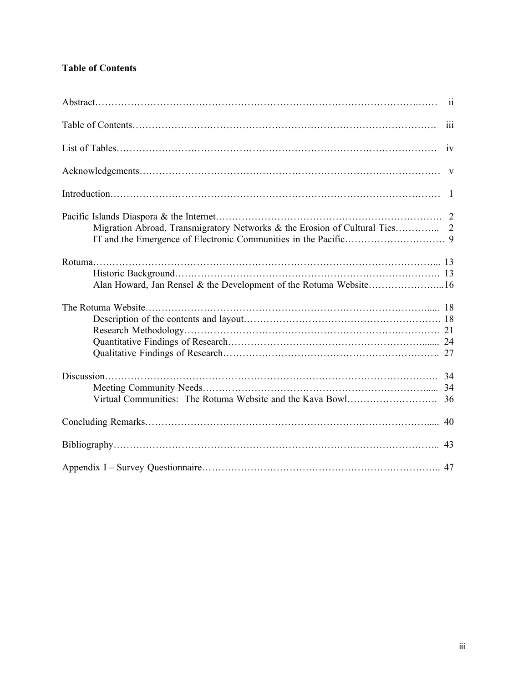# Table of Contents

|                                                                            | 111          |
|----------------------------------------------------------------------------|--------------|
|                                                                            | iv           |
|                                                                            | $\mathbf{V}$ |
|                                                                            |              |
| Migration Abroad, Transmigratory Networks & the Erosion of Cultural Ties 2 |              |
| Alan Howard, Jan Rensel & the Development of the Rotuma Website16          |              |
|                                                                            |              |
|                                                                            |              |
|                                                                            |              |
|                                                                            | 43           |
|                                                                            |              |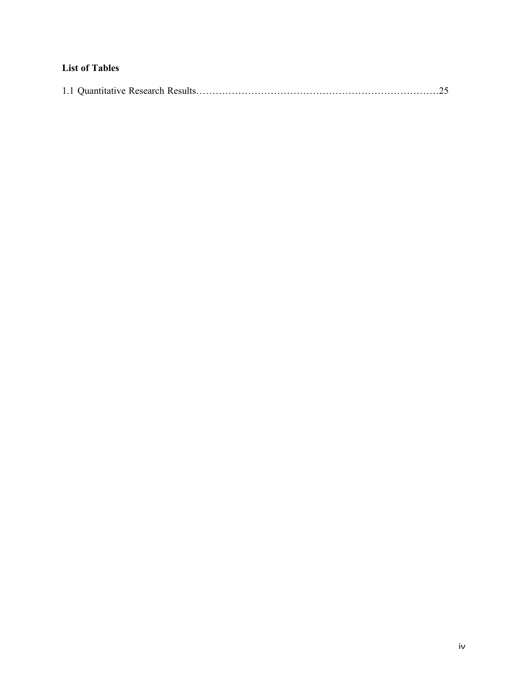# List of Tables

|--|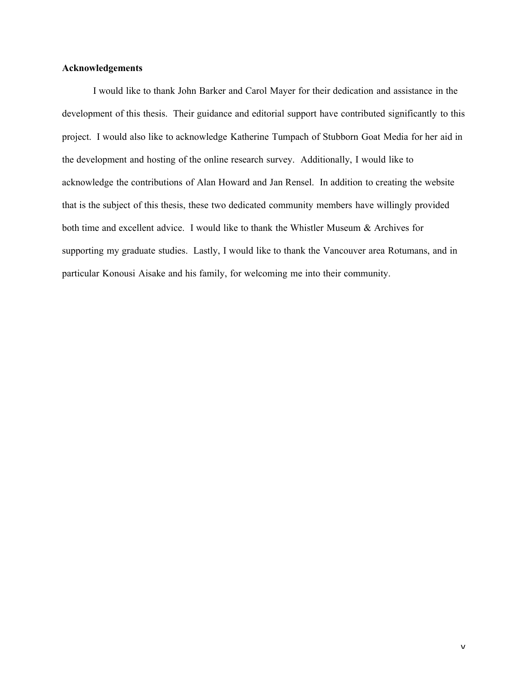## Acknowledgements

I would like to thank John Barker and Carol Mayer for their dedication and assistance in the development of this thesis. Their guidance and editorial support have contributed significantly to this project. I would also like to acknowledge Katherine Tumpach of Stubborn Goat Media for her aid in the development and hosting of the online research survey. Additionally, I would like to acknowledge the contributions of Alan Howard and Jan Rensel. In addition to creating the website that is the subject of this thesis, these two dedicated community members have willingly provided both time and excellent advice. I would like to thank the Whistler Museum & Archives for supporting my graduate studies. Lastly, I would like to thank the Vancouver area Rotumans, and in particular Konousi Aisake and his family, for welcoming me into their community.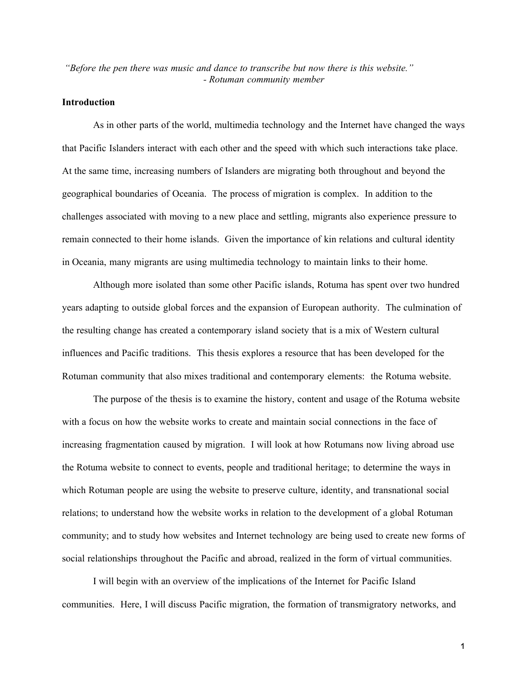*"Before the pen there was music and dance to transcribe but now there is this website." - Rotuman community member*

## Introduction

As in other parts of the world, multimedia technology and the Internet have changed the ways that Pacific Islanders interact with each other and the speed with which such interactions take place. At the same time, increasing numbers of Islanders are migrating both throughout and beyond the geographical boundaries of Oceania. The process of migration is complex. In addition to the challenges associated with moving to a new place and settling, migrants also experience pressure to remain connected to their home islands. Given the importance of kin relations and cultural identity in Oceania, many migrants are using multimedia technology to maintain links to their home.

Although more isolated than some other Pacific islands, Rotuma has spent over two hundred years adapting to outside global forces and the expansion of European authority. The culmination of the resulting change has created a contemporary island society that is a mix of Western cultural influences and Pacific traditions. This thesis explores a resource that has been developed for the Rotuman community that also mixes traditional and contemporary elements: the Rotuma website.

The purpose of the thesis is to examine the history, content and usage of the Rotuma website with a focus on how the website works to create and maintain social connections in the face of increasing fragmentation caused by migration. I will look at how Rotumans now living abroad use the Rotuma website to connect to events, people and traditional heritage; to determine the ways in which Rotuman people are using the website to preserve culture, identity, and transnational social relations; to understand how the website works in relation to the development of a global Rotuman community; and to study how websites and Internet technology are being used to create new forms of social relationships throughout the Pacific and abroad, realized in the form of virtual communities.

I will begin with an overview of the implications of the Internet for Pacific Island communities. Here, I will discuss Pacific migration, the formation of transmigratory networks, and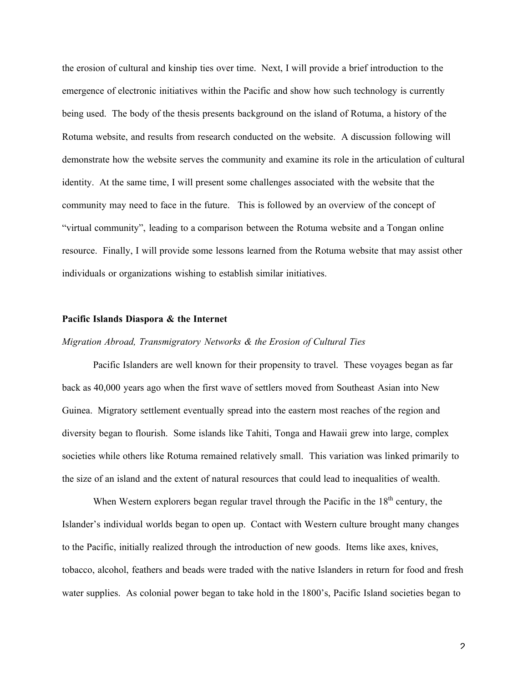the erosion of cultural and kinship ties over time. Next, I will provide a brief introduction to the emergence of electronic initiatives within the Pacific and show how such technology is currently being used. The body of the thesis presents background on the island of Rotuma, a history of the Rotuma website, and results from research conducted on the website. A discussion following will demonstrate how the website serves the community and examine its role in the articulation of cultural identity. At the same time, I will present some challenges associated with the website that the community may need to face in the future. This is followed by an overview of the concept of "virtual community", leading to a comparison between the Rotuma website and a Tongan online resource. Finally, I will provide some lessons learned from the Rotuma website that may assist other individuals or organizations wishing to establish similar initiatives.

#### Pacific Islands Diaspora & the Internet

# *Migration Abroad, Transmigratory Networks & the Erosion of Cultural Ties*

Pacific Islanders are well known for their propensity to travel. These voyages began as far back as 40,000 years ago when the first wave of settlers moved from Southeast Asian into New Guinea. Migratory settlement eventually spread into the eastern most reaches of the region and diversity began to flourish. Some islands like Tahiti, Tonga and Hawaii grew into large, complex societies while others like Rotuma remained relatively small. This variation was linked primarily to the size of an island and the extent of natural resources that could lead to inequalities of wealth.

When Western explorers began regular travel through the Pacific in the  $18<sup>th</sup>$  century, the Islander's individual worlds began to open up. Contact with Western culture brought many changes to the Pacific, initially realized through the introduction of new goods. Items like axes, knives, tobacco, alcohol, feathers and beads were traded with the native Islanders in return for food and fresh water supplies. As colonial power began to take hold in the 1800's, Pacific Island societies began to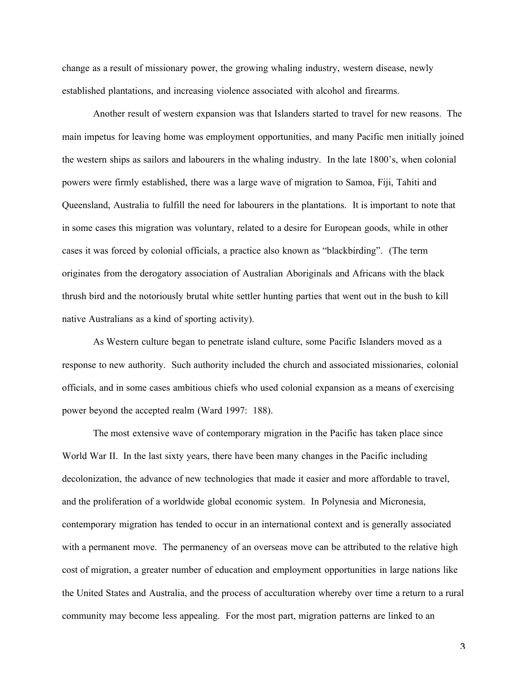change as a result of missionary power, the growing whaling industry, western disease, newly established plantations, and increasing violence associated with alcohol and firearms.

Another result of western expansion was that Islanders started to travel for new reasons. The main impetus for leaving home was employment opportunities, and many Pacific men initially joined the western ships as sailors and labourers in the whaling industry. In the late 1800's, when colonial powers were firmly established, there was a large wave of migration to Samoa, Fiji, Tahiti and Queensland, Australia to fulfill the need for labourers in the plantations. It is important to note that in some cases this migration was voluntary, related to a desire for European goods, while in other cases it was forced by colonial officials, a practice also known as "blackbirding". (The term originates from the derogatory association of Australian Aboriginals and Africans with the black thrush bird and the notoriously brutal white settler hunting parties that went out in the bush to kill native Australians as a kind of sporting activity).

As Western culture began to penetrate island culture, some Pacific Islanders moved as a response to new authority. Such authority included the church and associated missionaries, colonial officials, and in some cases ambitious chiefs who used colonial expansion as a means of exercising power beyond the accepted realm (Ward 1997: 188).

The most extensive wave of contemporary migration in the Pacific has taken place since World War II. In the last sixty years, there have been many changes in the Pacific including decolonization, the advance of new technologies that made it easier and more affordable to travel, and the proliferation of a worldwide global economic system. In Polynesia and Micronesia, contemporary migration has tended to occur in an international context and is generally associated with a permanent move. The permanency of an overseas move can be attributed to the relative high cost of migration, a greater number of education and employment opportunities in large nations like the United States and Australia, and the process of acculturation whereby over time a return to a rural community may become less appealing. For the most part, migration patterns are linked to an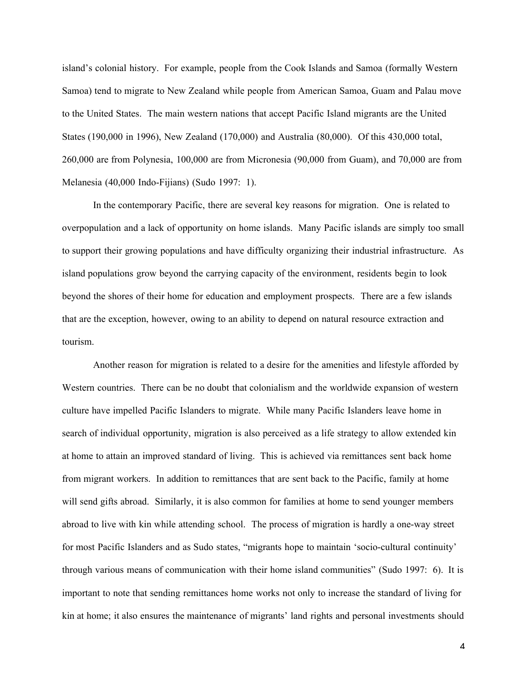island's colonial history. For example, people from the Cook Islands and Samoa (formally Western Samoa) tend to migrate to New Zealand while people from American Samoa, Guam and Palau move to the United States. The main western nations that accept Pacific Island migrants are the United States (190,000 in 1996), New Zealand (170,000) and Australia (80,000). Of this 430,000 total, 260,000 are from Polynesia, 100,000 are from Micronesia (90,000 from Guam), and 70,000 are from Melanesia (40,000 Indo-Fijians) (Sudo 1997: 1).

In the contemporary Pacific, there are several key reasons for migration. One is related to overpopulation and a lack of opportunity on home islands. Many Pacific islands are simply too small to support their growing populations and have difficulty organizing their industrial infrastructure. As island populations grow beyond the carrying capacity of the environment, residents begin to look beyond the shores of their home for education and employment prospects. There are a few islands that are the exception, however, owing to an ability to depend on natural resource extraction and tourism.

Another reason for migration is related to a desire for the amenities and lifestyle afforded by Western countries. There can be no doubt that colonialism and the worldwide expansion of western culture have impelled Pacific Islanders to migrate. While many Pacific Islanders leave home in search of individual opportunity, migration is also perceived as a life strategy to allow extended kin at home to attain an improved standard of living. This is achieved via remittances sent back home from migrant workers. In addition to remittances that are sent back to the Pacific, family at home will send gifts abroad. Similarly, it is also common for families at home to send younger members abroad to live with kin while attending school. The process of migration is hardly a one-way street for most Pacific Islanders and as Sudo states, "migrants hope to maintain 'socio-cultural continuity' through various means of communication with their home island communities" (Sudo 1997: 6). It is important to note that sending remittances home works not only to increase the standard of living for kin at home; it also ensures the maintenance of migrants' land rights and personal investments should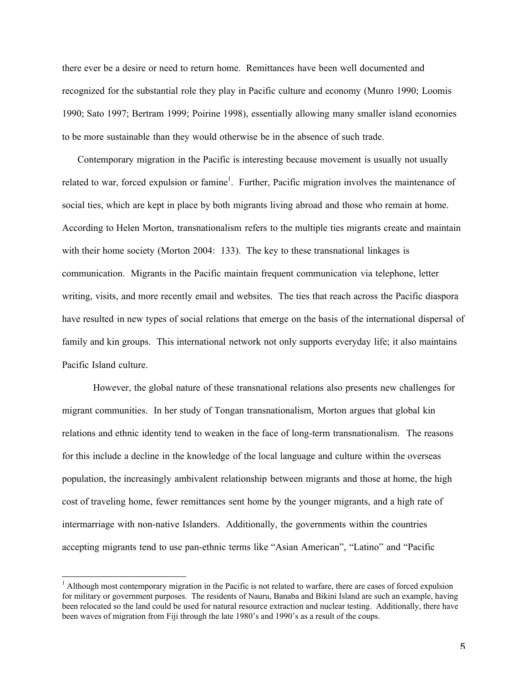there ever be a desire or need to return home. Remittances have been well documented and recognized for the substantial role they play in Pacific culture and economy (Munro 1990; Loomis 1990; Sato 1997; Bertram 1999; Poirine 1998), essentially allowing many smaller island economies to be more sustainable than they would otherwise be in the absence of such trade.

Contemporary migration in the Pacific is interesting because movement is usually not usually related to war, forced expulsion or famine<sup>1</sup>. Further, Pacific migration involves the maintenance of social ties, which are kept in place by both migrants living abroad and those who remain at home. According to Helen Morton, transnationalism refers to the multiple ties migrants create and maintain with their home society (Morton 2004: 133). The key to these transnational linkages is communication. Migrants in the Pacific maintain frequent communication via telephone, letter writing, visits, and more recently email and websites. The ties that reach across the Pacific diaspora have resulted in new types of social relations that emerge on the basis of the international dispersal of family and kin groups. This international network not only supports everyday life; it also maintains Pacific Island culture.

However, the global nature of these transnational relations also presents new challenges for migrant communities. In her study of Tongan transnationalism, Morton argues that global kin relations and ethnic identity tend to weaken in the face of long-term transnationalism. The reasons for this include a decline in the knowledge of the local language and culture within the overseas population, the increasingly ambivalent relationship between migrants and those at home, the high cost of traveling home, fewer remittances sent home by the younger migrants, and a high rate of intermarriage with non-native Islanders. Additionally, the governments within the countries accepting migrants tend to use pan-ethnic terms like "Asian American", "Latino" and "Pacific

<sup>|&</sup>lt;br>|<br>|  $\frac{1}{1}$  Although most contemporary migration in the Pacific is not related to warfare, there are cases of forced expulsion for military or government purposes. The residents of Nauru, Banaba and Bikini Island are such an example, having been relocated so the land could be used for natural resource extraction and nuclear testing. Additionally, there have been waves of migration from Fiji through the late 1980's and 1990's as a result of the coups.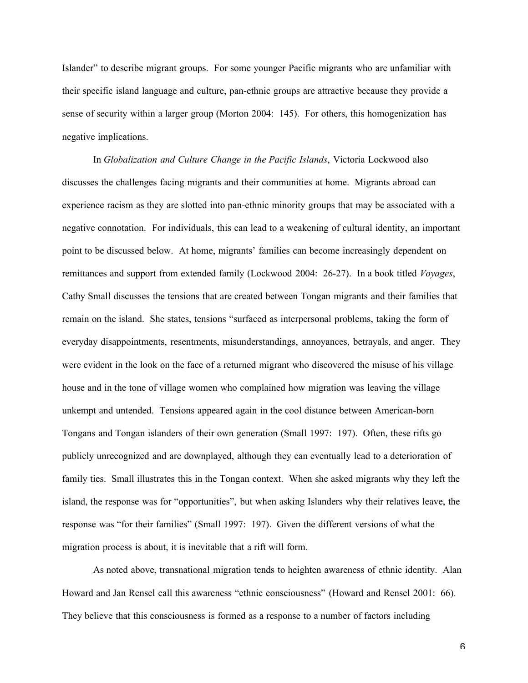Islander" to describe migrant groups. For some younger Pacific migrants who are unfamiliar with their specific island language and culture, pan-ethnic groups are attractive because they provide a sense of security within a larger group (Morton 2004: 145). For others, this homogenization has negative implications.

In *Globalization and Culture Change in the Pacific Islands*, Victoria Lockwood also discusses the challenges facing migrants and their communities at home. Migrants abroad can experience racism as they are slotted into pan-ethnic minority groups that may be associated with a negative connotation. For individuals, this can lead to a weakening of cultural identity, an important point to be discussed below. At home, migrants' families can become increasingly dependent on remittances and support from extended family (Lockwood 2004: 26-27). In a book titled *Voyages*, Cathy Small discusses the tensions that are created between Tongan migrants and their families that remain on the island. She states, tensions "surfaced as interpersonal problems, taking the form of everyday disappointments, resentments, misunderstandings, annoyances, betrayals, and anger. They were evident in the look on the face of a returned migrant who discovered the misuse of his village house and in the tone of village women who complained how migration was leaving the village unkempt and untended. Tensions appeared again in the cool distance between American-born Tongans and Tongan islanders of their own generation (Small 1997: 197). Often, these rifts go publicly unrecognized and are downplayed, although they can eventually lead to a deterioration of family ties. Small illustrates this in the Tongan context. When she asked migrants why they left the island, the response was for "opportunities", but when asking Islanders why their relatives leave, the response was "for their families" (Small 1997: 197). Given the different versions of what the migration process is about, it is inevitable that a rift will form.

As noted above, transnational migration tends to heighten awareness of ethnic identity. Alan Howard and Jan Rensel call this awareness "ethnic consciousness" (Howard and Rensel 2001: 66). They believe that this consciousness is formed as a response to a number of factors including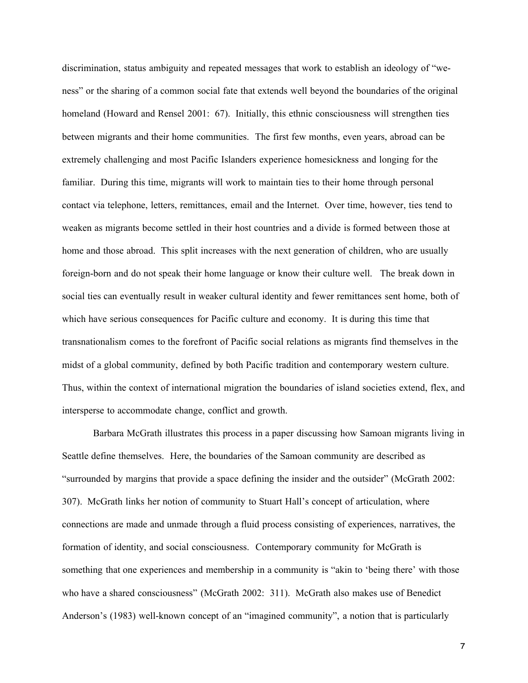discrimination, status ambiguity and repeated messages that work to establish an ideology of "weness" or the sharing of a common social fate that extends well beyond the boundaries of the original homeland (Howard and Rensel 2001: 67). Initially, this ethnic consciousness will strengthen ties between migrants and their home communities. The first few months, even years, abroad can be extremely challenging and most Pacific Islanders experience homesickness and longing for the familiar. During this time, migrants will work to maintain ties to their home through personal contact via telephone, letters, remittances, email and the Internet. Over time, however, ties tend to weaken as migrants become settled in their host countries and a divide is formed between those at home and those abroad. This split increases with the next generation of children, who are usually foreign-born and do not speak their home language or know their culture well. The break down in social ties can eventually result in weaker cultural identity and fewer remittances sent home, both of which have serious consequences for Pacific culture and economy. It is during this time that transnationalism comes to the forefront of Pacific social relations as migrants find themselves in the midst of a global community, defined by both Pacific tradition and contemporary western culture. Thus, within the context of international migration the boundaries of island societies extend, flex, and intersperse to accommodate change, conflict and growth.

Barbara McGrath illustrates this process in a paper discussing how Samoan migrants living in Seattle define themselves. Here, the boundaries of the Samoan community are described as "surrounded by margins that provide a space defining the insider and the outsider" (McGrath 2002: 307). McGrath links her notion of community to Stuart Hall's concept of articulation, where connections are made and unmade through a fluid process consisting of experiences, narratives, the formation of identity, and social consciousness. Contemporary community for McGrath is something that one experiences and membership in a community is "akin to 'being there' with those who have a shared consciousness" (McGrath 2002: 311). McGrath also makes use of Benedict Anderson's (1983) well-known concept of an "imagined community", a notion that is particularly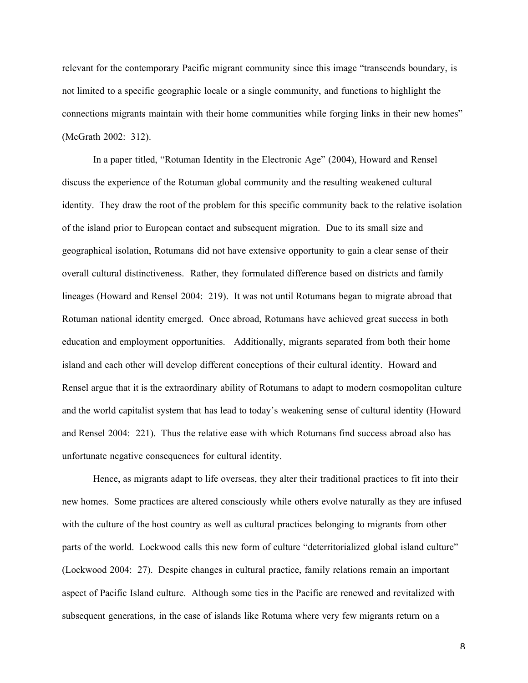relevant for the contemporary Pacific migrant community since this image "transcends boundary, is not limited to a specific geographic locale or a single community, and functions to highlight the connections migrants maintain with their home communities while forging links in their new homes" (McGrath 2002: 312).

In a paper titled, "Rotuman Identity in the Electronic Age" (2004), Howard and Rensel discuss the experience of the Rotuman global community and the resulting weakened cultural identity. They draw the root of the problem for this specific community back to the relative isolation of the island prior to European contact and subsequent migration. Due to its small size and geographical isolation, Rotumans did not have extensive opportunity to gain a clear sense of their overall cultural distinctiveness. Rather, they formulated difference based on districts and family lineages (Howard and Rensel 2004: 219). It was not until Rotumans began to migrate abroad that Rotuman national identity emerged. Once abroad, Rotumans have achieved great success in both education and employment opportunities. Additionally, migrants separated from both their home island and each other will develop different conceptions of their cultural identity. Howard and Rensel argue that it is the extraordinary ability of Rotumans to adapt to modern cosmopolitan culture and the world capitalist system that has lead to today's weakening sense of cultural identity (Howard and Rensel 2004: 221). Thus the relative ease with which Rotumans find success abroad also has unfortunate negative consequences for cultural identity.

Hence, as migrants adapt to life overseas, they alter their traditional practices to fit into their new homes. Some practices are altered consciously while others evolve naturally as they are infused with the culture of the host country as well as cultural practices belonging to migrants from other parts of the world. Lockwood calls this new form of culture "deterritorialized global island culture" (Lockwood 2004: 27). Despite changes in cultural practice, family relations remain an important aspect of Pacific Island culture. Although some ties in the Pacific are renewed and revitalized with subsequent generations, in the case of islands like Rotuma where very few migrants return on a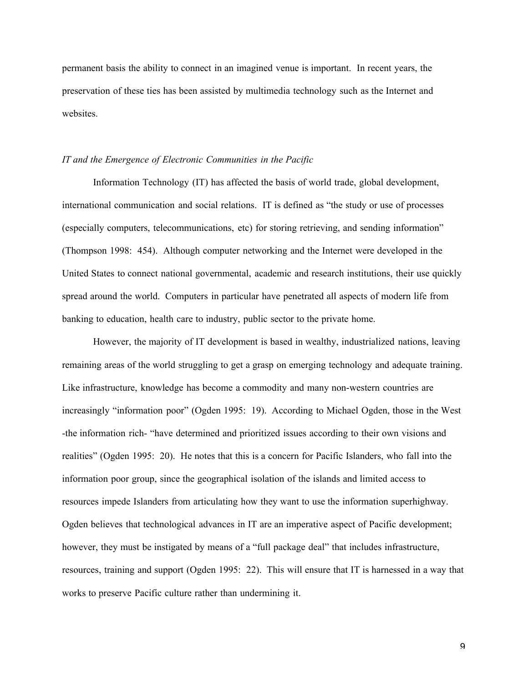permanent basis the ability to connect in an imagined venue is important. In recent years, the preservation of these ties has been assisted by multimedia technology such as the Internet and websites.

#### *IT and the Emergence of Electronic Communities in the Pacific*

Information Technology (IT) has affected the basis of world trade, global development, international communication and social relations. IT is defined as "the study or use of processes (especially computers, telecommunications, etc) for storing retrieving, and sending information" (Thompson 1998: 454). Although computer networking and the Internet were developed in the United States to connect national governmental, academic and research institutions, their use quickly spread around the world. Computers in particular have penetrated all aspects of modern life from banking to education, health care to industry, public sector to the private home.

However, the majority of IT development is based in wealthy, industrialized nations, leaving remaining areas of the world struggling to get a grasp on emerging technology and adequate training. Like infrastructure, knowledge has become a commodity and many non-western countries are increasingly "information poor" (Ogden 1995: 19). According to Michael Ogden, those in the West -the information rich- "have determined and prioritized issues according to their own visions and realities" (Ogden 1995: 20). He notes that this is a concern for Pacific Islanders, who fall into the information poor group, since the geographical isolation of the islands and limited access to resources impede Islanders from articulating how they want to use the information superhighway. Ogden believes that technological advances in IT are an imperative aspect of Pacific development; however, they must be instigated by means of a "full package deal" that includes infrastructure, resources, training and support (Ogden 1995: 22). This will ensure that IT is harnessed in a way that works to preserve Pacific culture rather than undermining it.

 $\mathsf{Q}$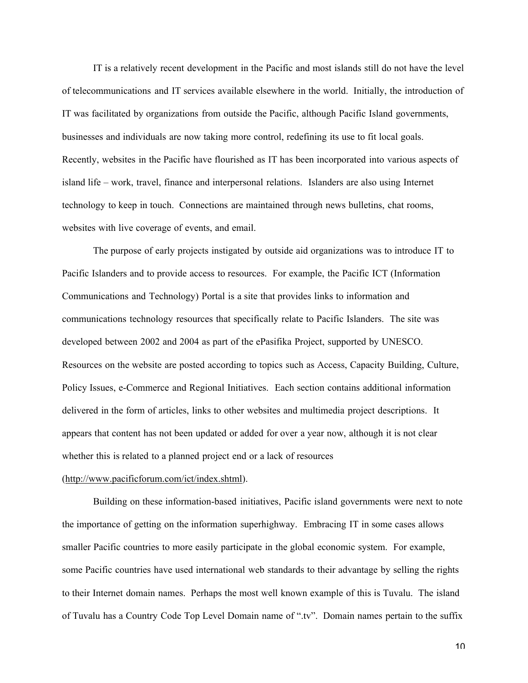IT is a relatively recent development in the Pacific and most islands still do not have the level of telecommunications and IT services available elsewhere in the world. Initially, the introduction of IT was facilitated by organizations from outside the Pacific, although Pacific Island governments, businesses and individuals are now taking more control, redefining its use to fit local goals. Recently, websites in the Pacific have flourished as IT has been incorporated into various aspects of island life – work, travel, finance and interpersonal relations. Islanders are also using Internet technology to keep in touch. Connections are maintained through news bulletins, chat rooms, websites with live coverage of events, and email.

The purpose of early projects instigated by outside aid organizations was to introduce IT to Pacific Islanders and to provide access to resources. For example, the Pacific ICT (Information Communications and Technology) Portal is a site that provides links to information and communications technology resources that specifically relate to Pacific Islanders. The site was developed between 2002 and 2004 as part of the ePasifika Project, supported by UNESCO. Resources on the website are posted according to topics such as Access, Capacity Building, Culture, Policy Issues, e-Commerce and Regional Initiatives. Each section contains additional information delivered in the form of articles, links to other websites and multimedia project descriptions. It appears that content has not been updated or added for over a year now, although it is not clear whether this is related to a planned project end or a lack of resources

## (http://www.pacificforum.com/ict/index.shtml).

Building on these information-based initiatives, Pacific island governments were next to note the importance of getting on the information superhighway. Embracing IT in some cases allows smaller Pacific countries to more easily participate in the global economic system. For example, some Pacific countries have used international web standards to their advantage by selling the rights to their Internet domain names. Perhaps the most well known example of this is Tuvalu. The island of Tuvalu has a Country Code Top Level Domain name of ".tv". Domain names pertain to the suffix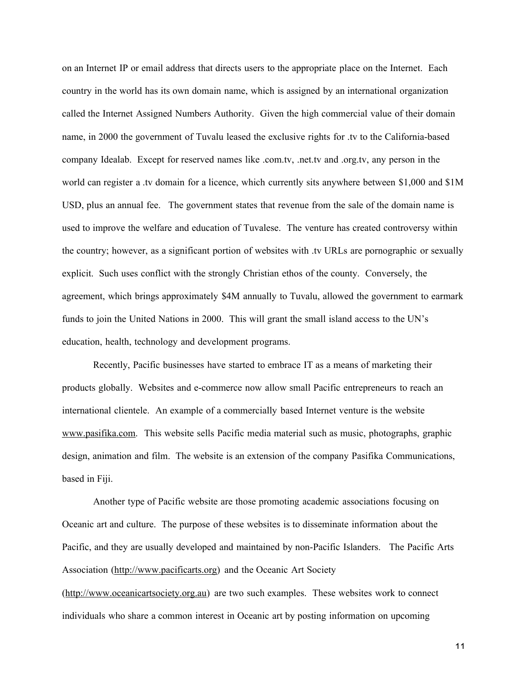on an Internet IP or email address that directs users to the appropriate place on the Internet. Each country in the world has its own domain name, which is assigned by an international organization called the Internet Assigned Numbers Authority. Given the high commercial value of their domain name, in 2000 the government of Tuvalu leased the exclusive rights for .tv to the California-based company Idealab. Except for reserved names like .com.tv, .net.tv and .org.tv, any person in the world can register a .tv domain for a licence, which currently sits anywhere between \$1,000 and \$1M USD, plus an annual fee. The government states that revenue from the sale of the domain name is used to improve the welfare and education of Tuvalese. The venture has created controversy within the country; however, as a significant portion of websites with .tv URLs are pornographic or sexually explicit. Such uses conflict with the strongly Christian ethos of the county. Conversely, the agreement, which brings approximately \$4M annually to Tuvalu, allowed the government to earmark funds to join the United Nations in 2000. This will grant the small island access to the UN's education, health, technology and development programs.

Recently, Pacific businesses have started to embrace IT as a means of marketing their products globally. Websites and e-commerce now allow small Pacific entrepreneurs to reach an international clientele. An example of a commercially based Internet venture is the website www.pasifika.com. This website sells Pacific media material such as music, photographs, graphic design, animation and film. The website is an extension of the company Pasifika Communications, based in Fiji.

Another type of Pacific website are those promoting academic associations focusing on Oceanic art and culture. The purpose of these websites is to disseminate information about the Pacific, and they are usually developed and maintained by non-Pacific Islanders. The Pacific Arts Association (http://www.pacificarts.org) and the Oceanic Art Society

(http://www.oceanicartsociety.org.au) are two such examples. These websites work to connect individuals who share a common interest in Oceanic art by posting information on upcoming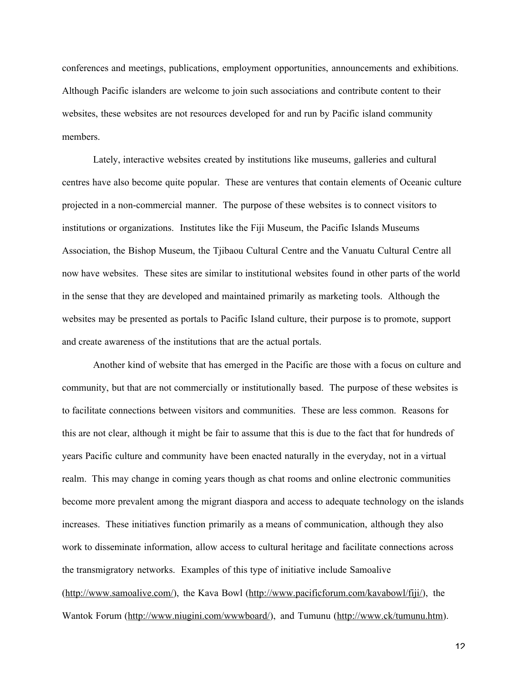conferences and meetings, publications, employment opportunities, announcements and exhibitions. Although Pacific islanders are welcome to join such associations and contribute content to their websites, these websites are not resources developed for and run by Pacific island community members.

Lately, interactive websites created by institutions like museums, galleries and cultural centres have also become quite popular. These are ventures that contain elements of Oceanic culture projected in a non-commercial manner. The purpose of these websites is to connect visitors to institutions or organizations. Institutes like the Fiji Museum, the Pacific Islands Museums Association, the Bishop Museum, the Tjibaou Cultural Centre and the Vanuatu Cultural Centre all now have websites. These sites are similar to institutional websites found in other parts of the world in the sense that they are developed and maintained primarily as marketing tools. Although the websites may be presented as portals to Pacific Island culture, their purpose is to promote, support and create awareness of the institutions that are the actual portals.

Another kind of website that has emerged in the Pacific are those with a focus on culture and community, but that are not commercially or institutionally based. The purpose of these websites is to facilitate connections between visitors and communities. These are less common. Reasons for this are not clear, although it might be fair to assume that this is due to the fact that for hundreds of years Pacific culture and community have been enacted naturally in the everyday, not in a virtual realm. This may change in coming years though as chat rooms and online electronic communities become more prevalent among the migrant diaspora and access to adequate technology on the islands increases. These initiatives function primarily as a means of communication, although they also work to disseminate information, allow access to cultural heritage and facilitate connections across the transmigratory networks. Examples of this type of initiative include Samoalive (http://www.samoalive.com/), the Kava Bowl (http://www.pacificforum.com/kavabowl/fiji/), the Wantok Forum (http://www.niugini.com/wwwboard/), and Tumunu (http://www.ck/tumunu.htm).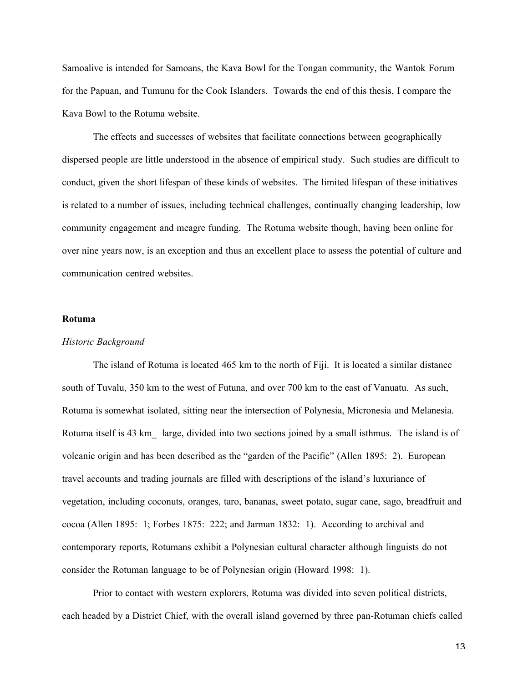Samoalive is intended for Samoans, the Kava Bowl for the Tongan community, the Wantok Forum for the Papuan, and Tumunu for the Cook Islanders. Towards the end of this thesis, I compare the Kava Bowl to the Rotuma website.

The effects and successes of websites that facilitate connections between geographically dispersed people are little understood in the absence of empirical study. Such studies are difficult to conduct, given the short lifespan of these kinds of websites. The limited lifespan of these initiatives is related to a number of issues, including technical challenges, continually changing leadership, low community engagement and meagre funding. The Rotuma website though, having been online for over nine years now, is an exception and thus an excellent place to assess the potential of culture and communication centred websites.

#### Rotuma

#### *Historic Background*

The island of Rotuma is located 465 km to the north of Fiji. It is located a similar distance south of Tuvalu, 350 km to the west of Futuna, and over 700 km to the east of Vanuatu. As such, Rotuma is somewhat isolated, sitting near the intersection of Polynesia, Micronesia and Melanesia. Rotuma itself is 43 km\_ large, divided into two sections joined by a small isthmus. The island is of volcanic origin and has been described as the "garden of the Pacific" (Allen 1895: 2). European travel accounts and trading journals are filled with descriptions of the island's luxuriance of vegetation, including coconuts, oranges, taro, bananas, sweet potato, sugar cane, sago, breadfruit and cocoa (Allen 1895: 1; Forbes 1875: 222; and Jarman 1832: 1). According to archival and contemporary reports, Rotumans exhibit a Polynesian cultural character although linguists do not consider the Rotuman language to be of Polynesian origin (Howard 1998: 1).

Prior to contact with western explorers, Rotuma was divided into seven political districts, each headed by a District Chief, with the overall island governed by three pan-Rotuman chiefs called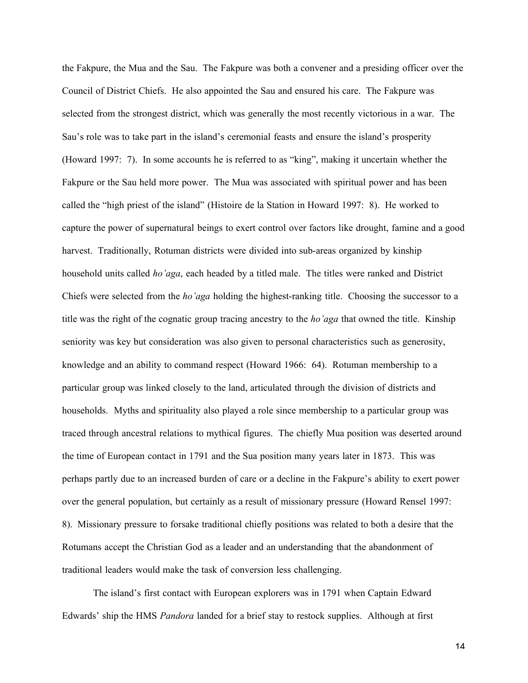the Fakpure, the Mua and the Sau. The Fakpure was both a convener and a presiding officer over the Council of District Chiefs. He also appointed the Sau and ensured his care. The Fakpure was selected from the strongest district, which was generally the most recently victorious in a war. The Sau's role was to take part in the island's ceremonial feasts and ensure the island's prosperity (Howard 1997: 7). In some accounts he is referred to as "king", making it uncertain whether the Fakpure or the Sau held more power. The Mua was associated with spiritual power and has been called the "high priest of the island" (Histoire de la Station in Howard 1997: 8). He worked to capture the power of supernatural beings to exert control over factors like drought, famine and a good harvest. Traditionally, Rotuman districts were divided into sub-areas organized by kinship household units called *ho'aga*, each headed by a titled male. The titles were ranked and District Chiefs were selected from the *ho'aga* holding the highest-ranking title. Choosing the successor to a title was the right of the cognatic group tracing ancestry to the *ho'aga* that owned the title. Kinship seniority was key but consideration was also given to personal characteristics such as generosity, knowledge and an ability to command respect (Howard 1966: 64). Rotuman membership to a particular group was linked closely to the land, articulated through the division of districts and households. Myths and spirituality also played a role since membership to a particular group was traced through ancestral relations to mythical figures. The chiefly Mua position was deserted around the time of European contact in 1791 and the Sua position many years later in 1873. This was perhaps partly due to an increased burden of care or a decline in the Fakpure's ability to exert power over the general population, but certainly as a result of missionary pressure (Howard Rensel 1997: 8). Missionary pressure to forsake traditional chiefly positions was related to both a desire that the Rotumans accept the Christian God as a leader and an understanding that the abandonment of traditional leaders would make the task of conversion less challenging.

The island's first contact with European explorers was in 1791 when Captain Edward Edwards' ship the HMS *Pandora* landed for a brief stay to restock supplies. Although at first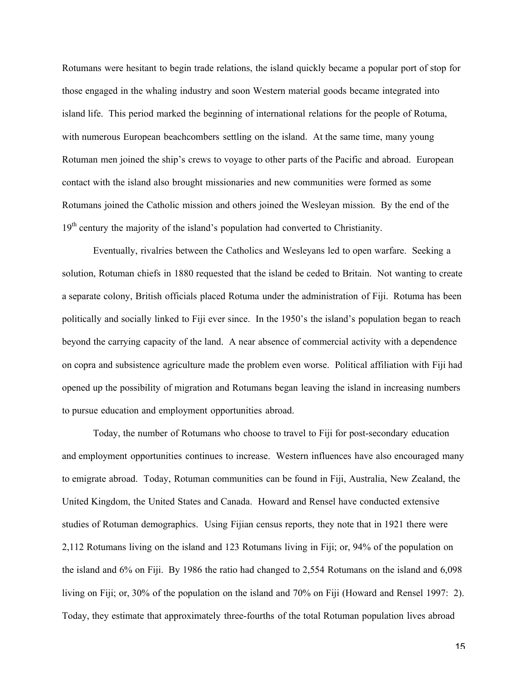Rotumans were hesitant to begin trade relations, the island quickly became a popular port of stop for those engaged in the whaling industry and soon Western material goods became integrated into island life. This period marked the beginning of international relations for the people of Rotuma, with numerous European beachcombers settling on the island. At the same time, many young Rotuman men joined the ship's crews to voyage to other parts of the Pacific and abroad. European contact with the island also brought missionaries and new communities were formed as some Rotumans joined the Catholic mission and others joined the Wesleyan mission. By the end of the 19<sup>th</sup> century the majority of the island's population had converted to Christianity.

Eventually, rivalries between the Catholics and Wesleyans led to open warfare. Seeking a solution, Rotuman chiefs in 1880 requested that the island be ceded to Britain. Not wanting to create a separate colony, British officials placed Rotuma under the administration of Fiji. Rotuma has been politically and socially linked to Fiji ever since. In the 1950's the island's population began to reach beyond the carrying capacity of the land. A near absence of commercial activity with a dependence on copra and subsistence agriculture made the problem even worse. Political affiliation with Fiji had opened up the possibility of migration and Rotumans began leaving the island in increasing numbers to pursue education and employment opportunities abroad.

Today, the number of Rotumans who choose to travel to Fiji for post-secondary education and employment opportunities continues to increase. Western influences have also encouraged many to emigrate abroad. Today, Rotuman communities can be found in Fiji, Australia, New Zealand, the United Kingdom, the United States and Canada. Howard and Rensel have conducted extensive studies of Rotuman demographics. Using Fijian census reports, they note that in 1921 there were 2,112 Rotumans living on the island and 123 Rotumans living in Fiji; or, 94% of the population on the island and 6% on Fiji. By 1986 the ratio had changed to 2,554 Rotumans on the island and 6,098 living on Fiji; or, 30% of the population on the island and 70% on Fiji (Howard and Rensel 1997: 2). Today, they estimate that approximately three-fourths of the total Rotuman population lives abroad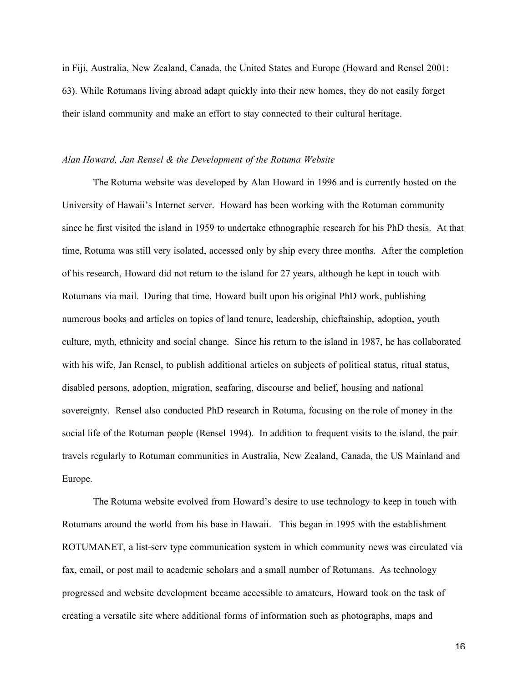in Fiji, Australia, New Zealand, Canada, the United States and Europe (Howard and Rensel 2001: 63). While Rotumans living abroad adapt quickly into their new homes, they do not easily forget their island community and make an effort to stay connected to their cultural heritage.

#### *Alan Howard, Jan Rensel & the Development of the Rotuma Website*

The Rotuma website was developed by Alan Howard in 1996 and is currently hosted on the University of Hawaii's Internet server. Howard has been working with the Rotuman community since he first visited the island in 1959 to undertake ethnographic research for his PhD thesis. At that time, Rotuma was still very isolated, accessed only by ship every three months. After the completion of his research, Howard did not return to the island for 27 years, although he kept in touch with Rotumans via mail. During that time, Howard built upon his original PhD work, publishing numerous books and articles on topics of land tenure, leadership, chieftainship, adoption, youth culture, myth, ethnicity and social change. Since his return to the island in 1987, he has collaborated with his wife, Jan Rensel, to publish additional articles on subjects of political status, ritual status, disabled persons, adoption, migration, seafaring, discourse and belief, housing and national sovereignty. Rensel also conducted PhD research in Rotuma, focusing on the role of money in the social life of the Rotuman people (Rensel 1994). In addition to frequent visits to the island, the pair travels regularly to Rotuman communities in Australia, New Zealand, Canada, the US Mainland and Europe.

The Rotuma website evolved from Howard's desire to use technology to keep in touch with Rotumans around the world from his base in Hawaii. This began in 1995 with the establishment ROTUMANET, a list-serv type communication system in which community news was circulated via fax, email, or post mail to academic scholars and a small number of Rotumans. As technology progressed and website development became accessible to amateurs, Howard took on the task of creating a versatile site where additional forms of information such as photographs, maps and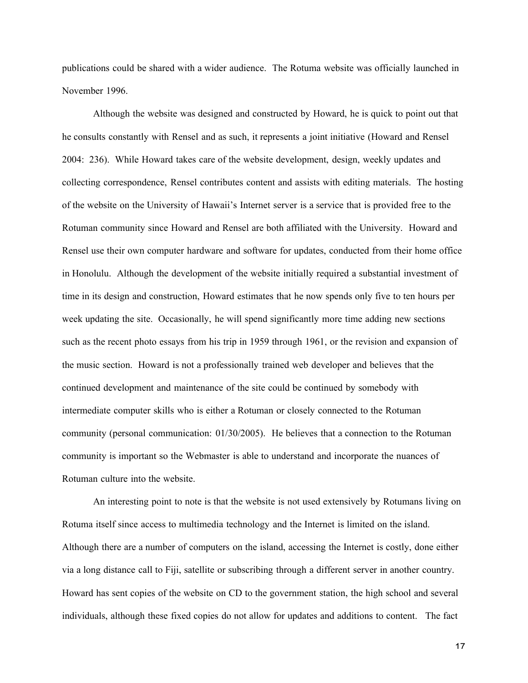publications could be shared with a wider audience. The Rotuma website was officially launched in November 1996.

Although the website was designed and constructed by Howard, he is quick to point out that he consults constantly with Rensel and as such, it represents a joint initiative (Howard and Rensel 2004: 236). While Howard takes care of the website development, design, weekly updates and collecting correspondence, Rensel contributes content and assists with editing materials. The hosting of the website on the University of Hawaii's Internet server is a service that is provided free to the Rotuman community since Howard and Rensel are both affiliated with the University. Howard and Rensel use their own computer hardware and software for updates, conducted from their home office in Honolulu. Although the development of the website initially required a substantial investment of time in its design and construction, Howard estimates that he now spends only five to ten hours per week updating the site. Occasionally, he will spend significantly more time adding new sections such as the recent photo essays from his trip in 1959 through 1961, or the revision and expansion of the music section. Howard is not a professionally trained web developer and believes that the continued development and maintenance of the site could be continued by somebody with intermediate computer skills who is either a Rotuman or closely connected to the Rotuman community (personal communication: 01/30/2005). He believes that a connection to the Rotuman community is important so the Webmaster is able to understand and incorporate the nuances of Rotuman culture into the website.

An interesting point to note is that the website is not used extensively by Rotumans living on Rotuma itself since access to multimedia technology and the Internet is limited on the island. Although there are a number of computers on the island, accessing the Internet is costly, done either via a long distance call to Fiji, satellite or subscribing through a different server in another country. Howard has sent copies of the website on CD to the government station, the high school and several individuals, although these fixed copies do not allow for updates and additions to content. The fact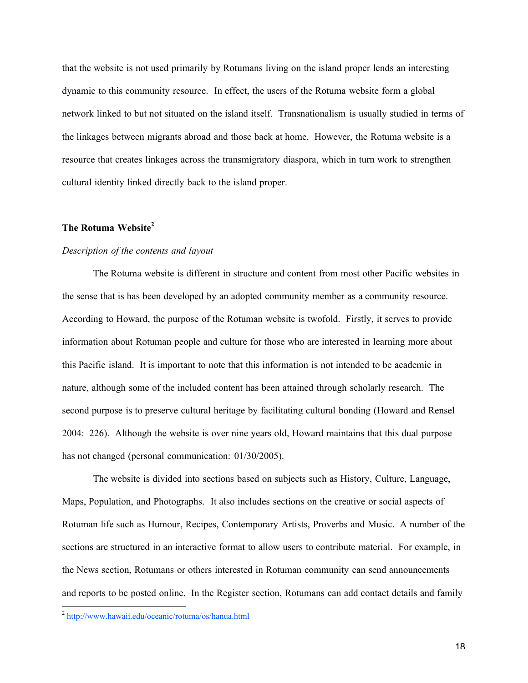that the website is not used primarily by Rotumans living on the island proper lends an interesting dynamic to this community resource. In effect, the users of the Rotuma website form a global network linked to but not situated on the island itself. Transnationalism is usually studied in terms of the linkages between migrants abroad and those back at home. However, the Rotuma website is a resource that creates linkages across the transmigratory diaspora, which in turn work to strengthen cultural identity linked directly back to the island proper.

## The Rotuma Website<sup>2</sup>

## *Description of the contents and layout*

The Rotuma website is different in structure and content from most other Pacific websites in the sense that is has been developed by an adopted community member as a community resource. According to Howard, the purpose of the Rotuman website is twofold. Firstly, it serves to provide information about Rotuman people and culture for those who are interested in learning more about this Pacific island. It is important to note that this information is not intended to be academic in nature, although some of the included content has been attained through scholarly research. The second purpose is to preserve cultural heritage by facilitating cultural bonding (Howard and Rensel 2004: 226). Although the website is over nine years old, Howard maintains that this dual purpose has not changed (personal communication: 01/30/2005).

The website is divided into sections based on subjects such as History, Culture, Language, Maps, Population, and Photographs. It also includes sections on the creative or social aspects of Rotuman life such as Humour, Recipes, Contemporary Artists, Proverbs and Music. A number of the sections are structured in an interactive format to allow users to contribute material. For example, in the News section, Rotumans or others interested in Rotuman community can send announcements and reports to be posted online. In the Register section, Rotumans can add contact details and family

<sup>2</sup> http://www.hawaii.edu/oceanic/rotuma/os/hanua.html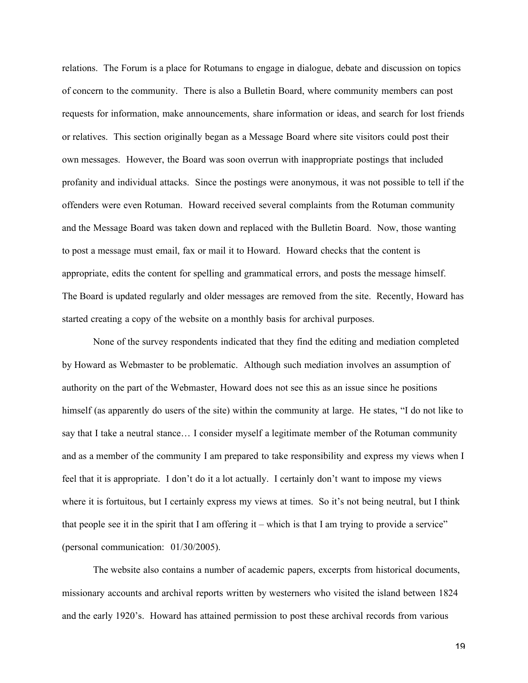relations. The Forum is a place for Rotumans to engage in dialogue, debate and discussion on topics of concern to the community. There is also a Bulletin Board, where community members can post requests for information, make announcements, share information or ideas, and search for lost friends or relatives. This section originally began as a Message Board where site visitors could post their own messages. However, the Board was soon overrun with inappropriate postings that included profanity and individual attacks. Since the postings were anonymous, it was not possible to tell if the offenders were even Rotuman. Howard received several complaints from the Rotuman community and the Message Board was taken down and replaced with the Bulletin Board. Now, those wanting to post a message must email, fax or mail it to Howard. Howard checks that the content is appropriate, edits the content for spelling and grammatical errors, and posts the message himself. The Board is updated regularly and older messages are removed from the site. Recently, Howard has started creating a copy of the website on a monthly basis for archival purposes.

None of the survey respondents indicated that they find the editing and mediation completed by Howard as Webmaster to be problematic. Although such mediation involves an assumption of authority on the part of the Webmaster, Howard does not see this as an issue since he positions himself (as apparently do users of the site) within the community at large. He states, "I do not like to say that I take a neutral stance… I consider myself a legitimate member of the Rotuman community and as a member of the community I am prepared to take responsibility and express my views when I feel that it is appropriate. I don't do it a lot actually. I certainly don't want to impose my views where it is fortuitous, but I certainly express my views at times. So it's not being neutral, but I think that people see it in the spirit that I am offering it – which is that I am trying to provide a service" (personal communication: 01/30/2005).

The website also contains a number of academic papers, excerpts from historical documents, missionary accounts and archival reports written by westerners who visited the island between 1824 and the early 1920's. Howard has attained permission to post these archival records from various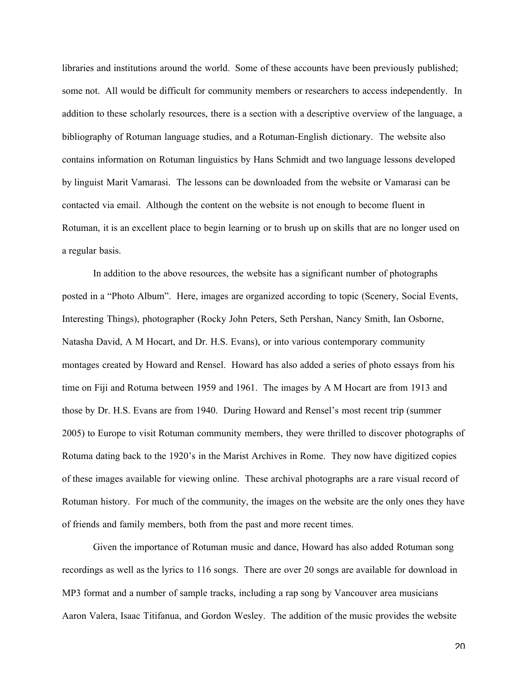libraries and institutions around the world. Some of these accounts have been previously published; some not. All would be difficult for community members or researchers to access independently. In addition to these scholarly resources, there is a section with a descriptive overview of the language, a bibliography of Rotuman language studies, and a Rotuman-English dictionary. The website also contains information on Rotuman linguistics by Hans Schmidt and two language lessons developed by linguist Marit Vamarasi. The lessons can be downloaded from the website or Vamarasi can be contacted via email. Although the content on the website is not enough to become fluent in Rotuman, it is an excellent place to begin learning or to brush up on skills that are no longer used on a regular basis.

In addition to the above resources, the website has a significant number of photographs posted in a "Photo Album". Here, images are organized according to topic (Scenery, Social Events, Interesting Things), photographer (Rocky John Peters, Seth Pershan, Nancy Smith, Ian Osborne, Natasha David, A M Hocart, and Dr. H.S. Evans), or into various contemporary community montages created by Howard and Rensel. Howard has also added a series of photo essays from his time on Fiji and Rotuma between 1959 and 1961. The images by A M Hocart are from 1913 and those by Dr. H.S. Evans are from 1940. During Howard and Rensel's most recent trip (summer 2005) to Europe to visit Rotuman community members, they were thrilled to discover photographs of Rotuma dating back to the 1920's in the Marist Archives in Rome. They now have digitized copies of these images available for viewing online. These archival photographs are a rare visual record of Rotuman history. For much of the community, the images on the website are the only ones they have of friends and family members, both from the past and more recent times.

Given the importance of Rotuman music and dance, Howard has also added Rotuman song recordings as well as the lyrics to 116 songs. There are over 20 songs are available for download in MP3 format and a number of sample tracks, including a rap song by Vancouver area musicians Aaron Valera, Isaac Titifanua, and Gordon Wesley. The addition of the music provides the website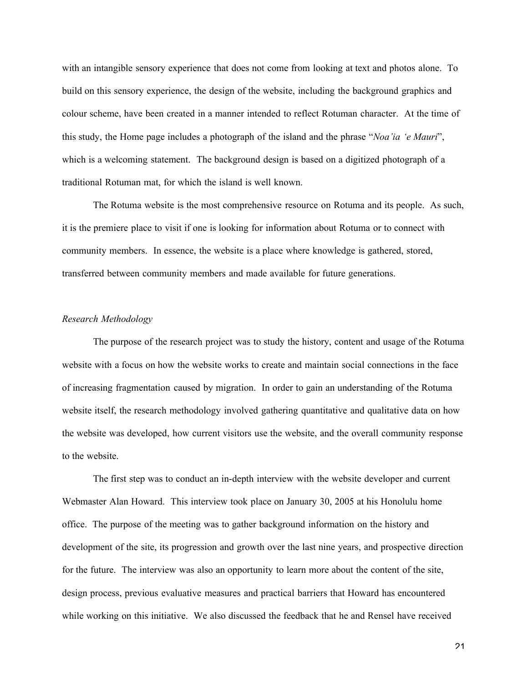with an intangible sensory experience that does not come from looking at text and photos alone. To build on this sensory experience, the design of the website, including the background graphics and colour scheme, have been created in a manner intended to reflect Rotuman character. At the time of this study, the Home page includes a photograph of the island and the phrase "*Noa'ia 'e Mauri*", which is a welcoming statement. The background design is based on a digitized photograph of a traditional Rotuman mat, for which the island is well known.

The Rotuma website is the most comprehensive resource on Rotuma and its people. As such, it is the premiere place to visit if one is looking for information about Rotuma or to connect with community members. In essence, the website is a place where knowledge is gathered, stored, transferred between community members and made available for future generations.

### *Research Methodology*

The purpose of the research project was to study the history, content and usage of the Rotuma website with a focus on how the website works to create and maintain social connections in the face of increasing fragmentation caused by migration. In order to gain an understanding of the Rotuma website itself, the research methodology involved gathering quantitative and qualitative data on how the website was developed, how current visitors use the website, and the overall community response to the website.

The first step was to conduct an in-depth interview with the website developer and current Webmaster Alan Howard. This interview took place on January 30, 2005 at his Honolulu home office. The purpose of the meeting was to gather background information on the history and development of the site, its progression and growth over the last nine years, and prospective direction for the future. The interview was also an opportunity to learn more about the content of the site, design process, previous evaluative measures and practical barriers that Howard has encountered while working on this initiative. We also discussed the feedback that he and Rensel have received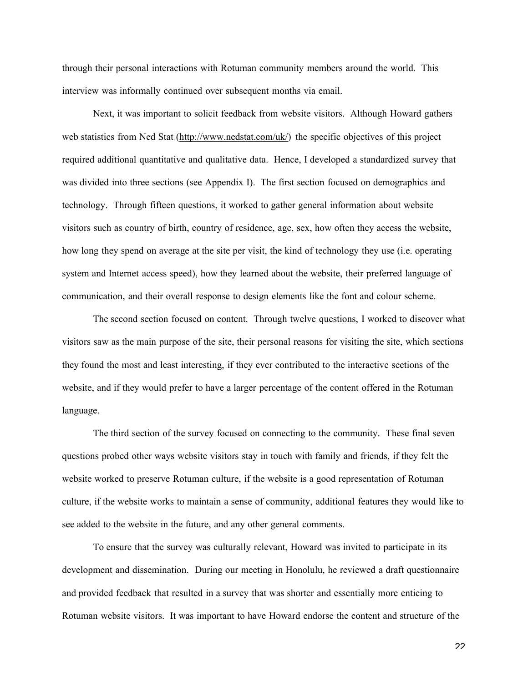through their personal interactions with Rotuman community members around the world. This interview was informally continued over subsequent months via email.

Next, it was important to solicit feedback from website visitors. Although Howard gathers web statistics from Ned Stat (http://www.nedstat.com/uk/) the specific objectives of this project required additional quantitative and qualitative data. Hence, I developed a standardized survey that was divided into three sections (see Appendix I). The first section focused on demographics and technology. Through fifteen questions, it worked to gather general information about website visitors such as country of birth, country of residence, age, sex, how often they access the website, how long they spend on average at the site per visit, the kind of technology they use (i.e. operating system and Internet access speed), how they learned about the website, their preferred language of communication, and their overall response to design elements like the font and colour scheme.

The second section focused on content. Through twelve questions, I worked to discover what visitors saw as the main purpose of the site, their personal reasons for visiting the site, which sections they found the most and least interesting, if they ever contributed to the interactive sections of the website, and if they would prefer to have a larger percentage of the content offered in the Rotuman language.

The third section of the survey focused on connecting to the community. These final seven questions probed other ways website visitors stay in touch with family and friends, if they felt the website worked to preserve Rotuman culture, if the website is a good representation of Rotuman culture, if the website works to maintain a sense of community, additional features they would like to see added to the website in the future, and any other general comments.

To ensure that the survey was culturally relevant, Howard was invited to participate in its development and dissemination. During our meeting in Honolulu, he reviewed a draft questionnaire and provided feedback that resulted in a survey that was shorter and essentially more enticing to Rotuman website visitors. It was important to have Howard endorse the content and structure of the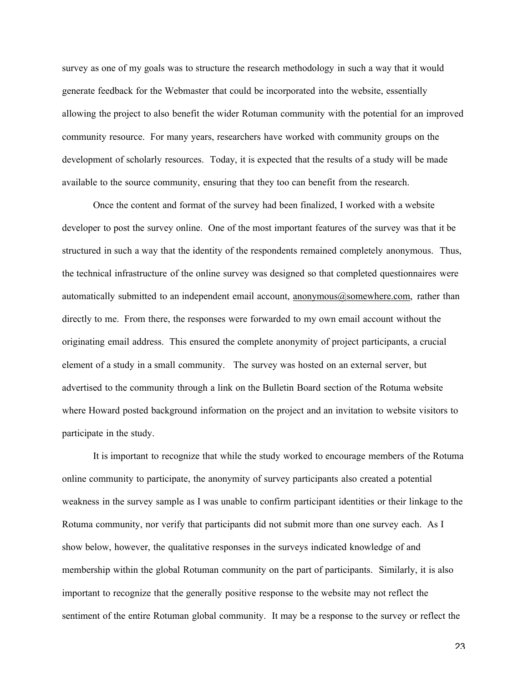survey as one of my goals was to structure the research methodology in such a way that it would generate feedback for the Webmaster that could be incorporated into the website, essentially allowing the project to also benefit the wider Rotuman community with the potential for an improved community resource. For many years, researchers have worked with community groups on the development of scholarly resources. Today, it is expected that the results of a study will be made available to the source community, ensuring that they too can benefit from the research.

Once the content and format of the survey had been finalized, I worked with a website developer to post the survey online. One of the most important features of the survey was that it be structured in such a way that the identity of the respondents remained completely anonymous. Thus, the technical infrastructure of the online survey was designed so that completed questionnaires were automatically submitted to an independent email account, anonymous@somewhere.com, rather than directly to me. From there, the responses were forwarded to my own email account without the originating email address. This ensured the complete anonymity of project participants, a crucial element of a study in a small community. The survey was hosted on an external server, but advertised to the community through a link on the Bulletin Board section of the Rotuma website where Howard posted background information on the project and an invitation to website visitors to participate in the study.

It is important to recognize that while the study worked to encourage members of the Rotuma online community to participate, the anonymity of survey participants also created a potential weakness in the survey sample as I was unable to confirm participant identities or their linkage to the Rotuma community, nor verify that participants did not submit more than one survey each. As I show below, however, the qualitative responses in the surveys indicated knowledge of and membership within the global Rotuman community on the part of participants. Similarly, it is also important to recognize that the generally positive response to the website may not reflect the sentiment of the entire Rotuman global community. It may be a response to the survey or reflect the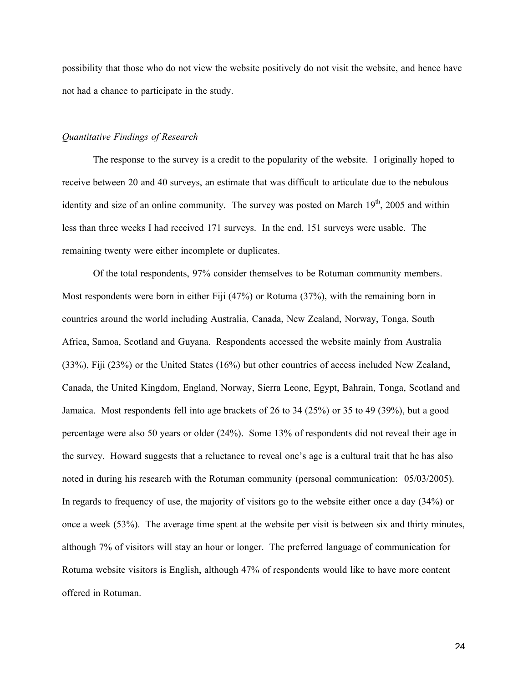possibility that those who do not view the website positively do not visit the website, and hence have not had a chance to participate in the study.

#### *Quantitative Findings of Research*

The response to the survey is a credit to the popularity of the website. I originally hoped to receive between 20 and 40 surveys, an estimate that was difficult to articulate due to the nebulous identity and size of an online community. The survey was posted on March 19<sup>th</sup>, 2005 and within less than three weeks I had received 171 surveys. In the end, 151 surveys were usable. The remaining twenty were either incomplete or duplicates.

Of the total respondents, 97% consider themselves to be Rotuman community members. Most respondents were born in either Fiji (47%) or Rotuma (37%), with the remaining born in countries around the world including Australia, Canada, New Zealand, Norway, Tonga, South Africa, Samoa, Scotland and Guyana. Respondents accessed the website mainly from Australia (33%), Fiji (23%) or the United States (16%) but other countries of access included New Zealand, Canada, the United Kingdom, England, Norway, Sierra Leone, Egypt, Bahrain, Tonga, Scotland and Jamaica. Most respondents fell into age brackets of 26 to 34 (25%) or 35 to 49 (39%), but a good percentage were also 50 years or older (24%). Some 13% of respondents did not reveal their age in the survey. Howard suggests that a reluctance to reveal one's age is a cultural trait that he has also noted in during his research with the Rotuman community (personal communication: 05/03/2005). In regards to frequency of use, the majority of visitors go to the website either once a day (34%) or once a week (53%). The average time spent at the website per visit is between six and thirty minutes, although 7% of visitors will stay an hour or longer. The preferred language of communication for Rotuma website visitors is English, although 47% of respondents would like to have more content offered in Rotuman.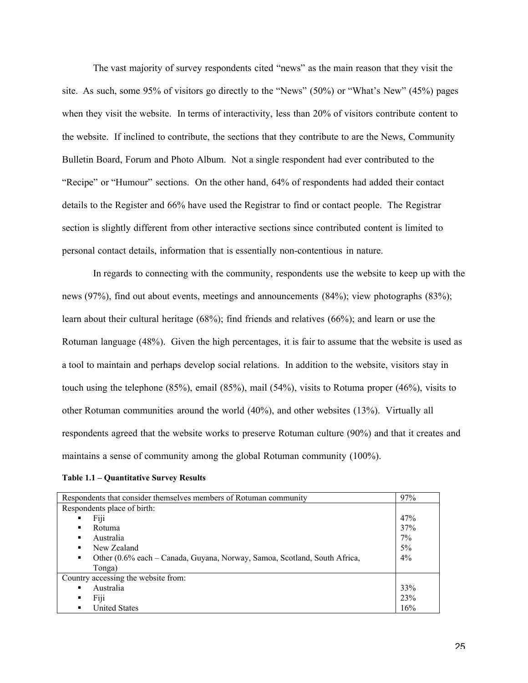The vast majority of survey respondents cited "news" as the main reason that they visit the site. As such, some 95% of visitors go directly to the "News" (50%) or "What's New" (45%) pages when they visit the website. In terms of interactivity, less than 20% of visitors contribute content to the website. If inclined to contribute, the sections that they contribute to are the News, Community Bulletin Board, Forum and Photo Album. Not a single respondent had ever contributed to the "Recipe" or "Humour" sections. On the other hand, 64% of respondents had added their contact details to the Register and 66% have used the Registrar to find or contact people. The Registrar section is slightly different from other interactive sections since contributed content is limited to personal contact details, information that is essentially non-contentious in nature.

In regards to connecting with the community, respondents use the website to keep up with the news (97%), find out about events, meetings and announcements (84%); view photographs (83%); learn about their cultural heritage (68%); find friends and relatives (66%); and learn or use the Rotuman language (48%). Given the high percentages, it is fair to assume that the website is used as a tool to maintain and perhaps develop social relations. In addition to the website, visitors stay in touch using the telephone (85%), email (85%), mail (54%), visits to Rotuma proper (46%), visits to other Rotuman communities around the world (40%), and other websites (13%). Virtually all respondents agreed that the website works to preserve Rotuman culture (90%) and that it creates and maintains a sense of community among the global Rotuman community (100%).

| Respondents that consider themselves members of Rotuman community              |       |  |  |  |  |
|--------------------------------------------------------------------------------|-------|--|--|--|--|
| Respondents place of birth:                                                    |       |  |  |  |  |
| Fiji<br>٠                                                                      | 47%   |  |  |  |  |
| Rotuma                                                                         | 37%   |  |  |  |  |
| Australia<br>٠                                                                 | $7\%$ |  |  |  |  |
| New Zealand                                                                    | $5\%$ |  |  |  |  |
| Other (0.6% each – Canada, Guyana, Norway, Samoa, Scotland, South Africa,<br>٠ | $4\%$ |  |  |  |  |
| Tonga)                                                                         |       |  |  |  |  |
| Country accessing the website from:                                            |       |  |  |  |  |
| Australia                                                                      | 33%   |  |  |  |  |
| Fiji<br>٠                                                                      | 23%   |  |  |  |  |
| <b>United States</b>                                                           | 16%   |  |  |  |  |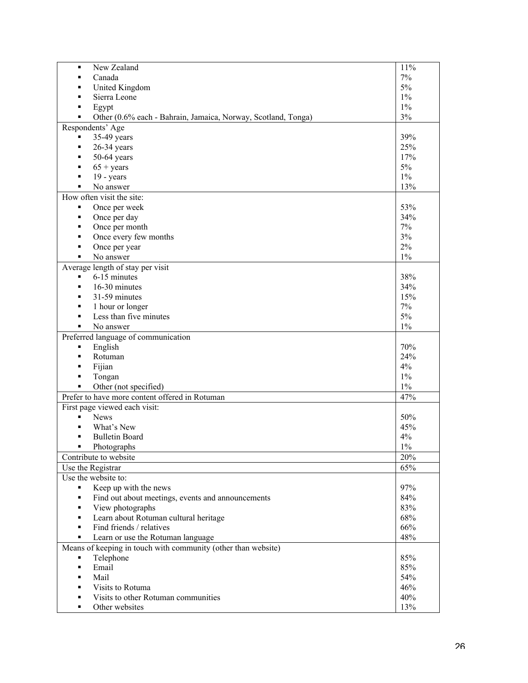| New Zealand<br>٠                                                   | 11%   |
|--------------------------------------------------------------------|-------|
| Canada<br>٠                                                        | 7%    |
| United Kingdom<br>٠                                                | 5%    |
| Sierra Leone<br>٠                                                  | $1\%$ |
| Egypt<br>п                                                         | $1\%$ |
| Other (0.6% each - Bahrain, Jamaica, Norway, Scotland, Tonga)<br>٠ | $3\%$ |
| Respondents' Age                                                   |       |
| 35-49 years<br>٠                                                   | 39%   |
| $26-34$ years<br>٠                                                 | 25%   |
| $50-64$ years<br>٠                                                 | 17%   |
| $65 + \text{years}$<br>٠                                           | 5%    |
| $19 - years$<br>٠                                                  | $1\%$ |
| No answer                                                          | 13%   |
| How often visit the site:                                          |       |
| Once per week<br>٠                                                 | 53%   |
| Once per day<br>٠                                                  | 34%   |
| Once per month<br>٠                                                | 7%    |
| Once every few months<br>٠                                         | 3%    |
| Once per year<br>٠                                                 | 2%    |
| No answer<br>٠                                                     | $1\%$ |
| Average length of stay per visit                                   |       |
| 6-15 minutes<br>٠                                                  | 38%   |
| 16-30 minutes<br>٠                                                 | 34%   |
| 31-59 minutes<br>٠                                                 | 15%   |
| 1 hour or longer<br>۰                                              | 7%    |
| Less than five minutes<br>Ξ                                        | $5\%$ |
| No answer<br>٠                                                     | $1\%$ |
| Preferred language of communication                                |       |
| English<br>٠                                                       | 70%   |
| Rotuman<br>٠                                                       | 24%   |
| Fijian<br>٠                                                        | 4%    |
| Tongan<br>٠                                                        | $1\%$ |
| Other (not specified)<br>٠                                         | $1\%$ |
| Prefer to have more content offered in Rotuman                     | 47%   |
| First page viewed each visit:                                      |       |
| <b>News</b><br>٠                                                   | 50%   |
| What's New                                                         | 45%   |
| <b>Bulletin Board</b>                                              | 4%    |
| Photographs<br>▪                                                   | $1\%$ |
| Contribute to website                                              | 20%   |
| Use the Registrar                                                  | 65%   |
| Use the website to:                                                |       |
| Keep up with the news                                              | 97%   |
| Find out about meetings, events and announcements                  | 84%   |
| View photographs                                                   | 83%   |
| Learn about Rotuman cultural heritage<br>Ξ                         | 68%   |
| Find friends / relatives<br>٠                                      | 66%   |
| Learn or use the Rotuman language<br>۰                             | 48%   |
| Means of keeping in touch with community (other than website)      |       |
| Telephone                                                          | 85%   |
| Email<br>٠                                                         | 85%   |
| Mail<br>٠                                                          | 54%   |
| Visits to Rotuma<br>٠                                              | 46%   |
| Visits to other Rotuman communities<br>٠                           | 40%   |
| Other websites<br>٠                                                | 13%   |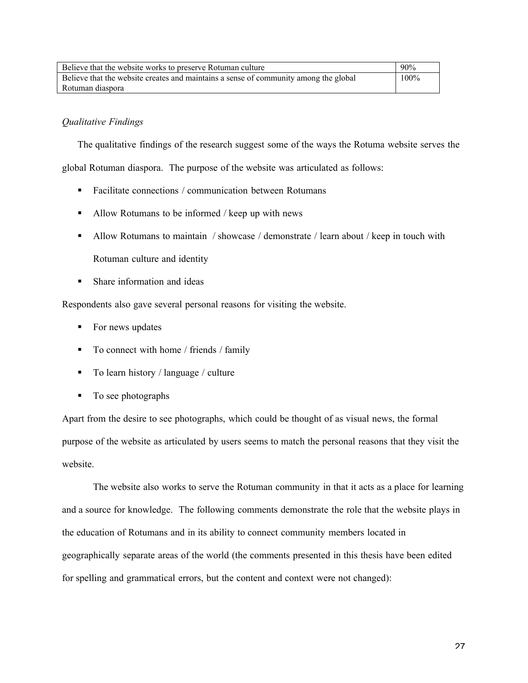| Believe that the website works to preserve Rotuman culture                           | 90%     |
|--------------------------------------------------------------------------------------|---------|
| Believe that the website creates and maintains a sense of community among the global | $100\%$ |
| Rotuman diaspora                                                                     |         |

# *Qualitative Findings*

The qualitative findings of the research suggest some of the ways the Rotuma website serves the global Rotuman diaspora. The purpose of the website was articulated as follows:

- Facilitate connections / communication between Rotumans
- Allow Rotumans to be informed / keep up with news
- Allow Rotumans to maintain / showcase / demonstrate / learn about / keep in touch with Rotuman culture and identity
- **Share information and ideas**

Respondents also gave several personal reasons for visiting the website.

- For news updates
- To connect with home / friends / family
- To learn history / language / culture
- To see photographs

Apart from the desire to see photographs, which could be thought of as visual news, the formal purpose of the website as articulated by users seems to match the personal reasons that they visit the website.

The website also works to serve the Rotuman community in that it acts as a place for learning and a source for knowledge. The following comments demonstrate the role that the website plays in the education of Rotumans and in its ability to connect community members located in geographically separate areas of the world (the comments presented in this thesis have been edited for spelling and grammatical errors, but the content and context were not changed):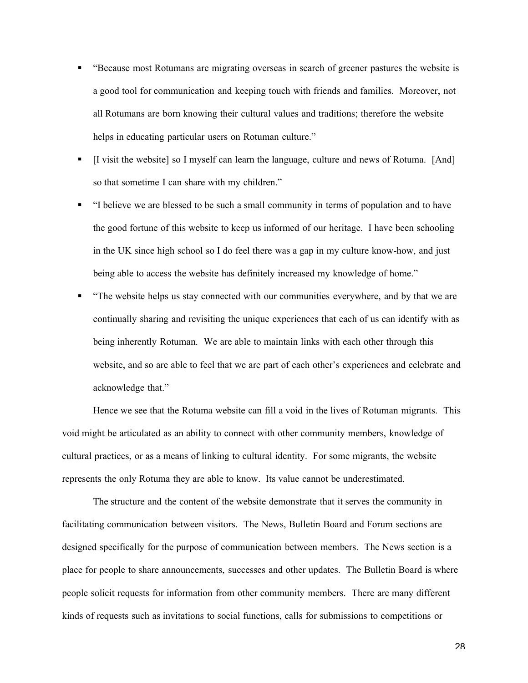- "Because most Rotumans are migrating overseas in search of greener pastures the website is a good tool for communication and keeping touch with friends and families. Moreover, not all Rotumans are born knowing their cultural values and traditions; therefore the website helps in educating particular users on Rotuman culture."
- [I visit the website] so I myself can learn the language, culture and news of Rotuma. [And] so that sometime I can share with my children."
- "I believe we are blessed to be such a small community in terms of population and to have the good fortune of this website to keep us informed of our heritage. I have been schooling in the UK since high school so I do feel there was a gap in my culture know-how, and just being able to access the website has definitely increased my knowledge of home."
- "The website helps us stay connected with our communities everywhere, and by that we are continually sharing and revisiting the unique experiences that each of us can identify with as being inherently Rotuman. We are able to maintain links with each other through this website, and so are able to feel that we are part of each other's experiences and celebrate and acknowledge that."

Hence we see that the Rotuma website can fill a void in the lives of Rotuman migrants. This void might be articulated as an ability to connect with other community members, knowledge of cultural practices, or as a means of linking to cultural identity. For some migrants, the website represents the only Rotuma they are able to know. Its value cannot be underestimated.

The structure and the content of the website demonstrate that it serves the community in facilitating communication between visitors. The News, Bulletin Board and Forum sections are designed specifically for the purpose of communication between members. The News section is a place for people to share announcements, successes and other updates. The Bulletin Board is where people solicit requests for information from other community members. There are many different kinds of requests such as invitations to social functions, calls for submissions to competitions or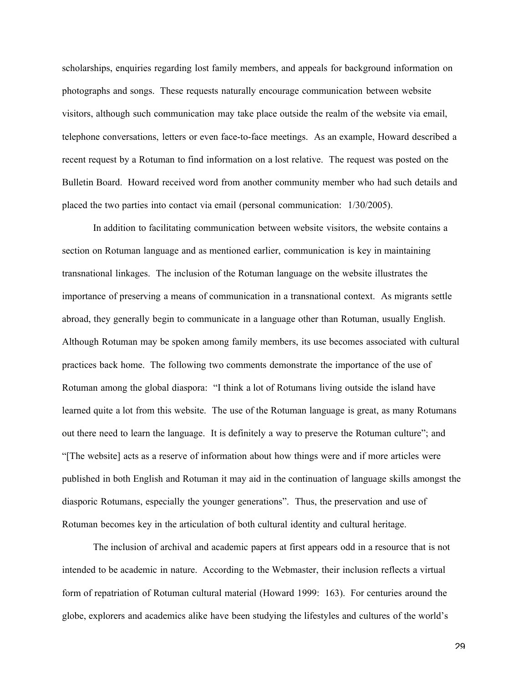scholarships, enquiries regarding lost family members, and appeals for background information on photographs and songs. These requests naturally encourage communication between website visitors, although such communication may take place outside the realm of the website via email, telephone conversations, letters or even face-to-face meetings. As an example, Howard described a recent request by a Rotuman to find information on a lost relative. The request was posted on the Bulletin Board. Howard received word from another community member who had such details and placed the two parties into contact via email (personal communication: 1/30/2005).

In addition to facilitating communication between website visitors, the website contains a section on Rotuman language and as mentioned earlier, communication is key in maintaining transnational linkages. The inclusion of the Rotuman language on the website illustrates the importance of preserving a means of communication in a transnational context. As migrants settle abroad, they generally begin to communicate in a language other than Rotuman, usually English. Although Rotuman may be spoken among family members, its use becomes associated with cultural practices back home. The following two comments demonstrate the importance of the use of Rotuman among the global diaspora: "I think a lot of Rotumans living outside the island have learned quite a lot from this website. The use of the Rotuman language is great, as many Rotumans out there need to learn the language. It is definitely a way to preserve the Rotuman culture"; and "[The website] acts as a reserve of information about how things were and if more articles were published in both English and Rotuman it may aid in the continuation of language skills amongst the diasporic Rotumans, especially the younger generations". Thus, the preservation and use of Rotuman becomes key in the articulation of both cultural identity and cultural heritage.

The inclusion of archival and academic papers at first appears odd in a resource that is not intended to be academic in nature. According to the Webmaster, their inclusion reflects a virtual form of repatriation of Rotuman cultural material (Howard 1999: 163). For centuries around the globe, explorers and academics alike have been studying the lifestyles and cultures of the world's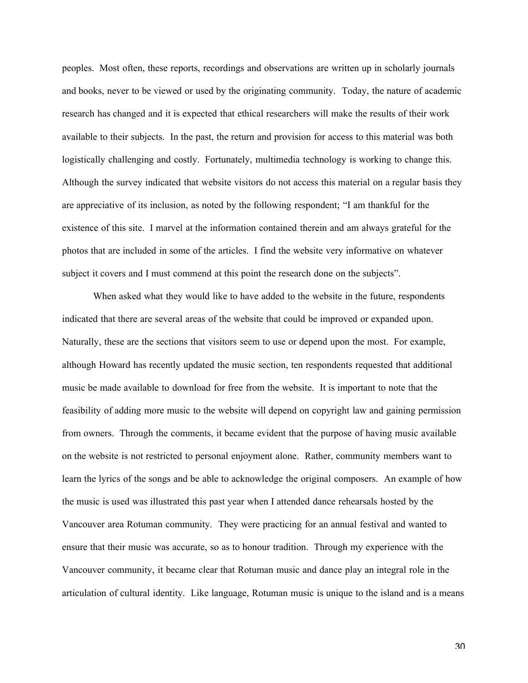peoples. Most often, these reports, recordings and observations are written up in scholarly journals and books, never to be viewed or used by the originating community. Today, the nature of academic research has changed and it is expected that ethical researchers will make the results of their work available to their subjects. In the past, the return and provision for access to this material was both logistically challenging and costly. Fortunately, multimedia technology is working to change this. Although the survey indicated that website visitors do not access this material on a regular basis they are appreciative of its inclusion, as noted by the following respondent; "I am thankful for the existence of this site. I marvel at the information contained therein and am always grateful for the photos that are included in some of the articles. I find the website very informative on whatever subject it covers and I must commend at this point the research done on the subjects".

When asked what they would like to have added to the website in the future, respondents indicated that there are several areas of the website that could be improved or expanded upon. Naturally, these are the sections that visitors seem to use or depend upon the most. For example, although Howard has recently updated the music section, ten respondents requested that additional music be made available to download for free from the website. It is important to note that the feasibility of adding more music to the website will depend on copyright law and gaining permission from owners. Through the comments, it became evident that the purpose of having music available on the website is not restricted to personal enjoyment alone. Rather, community members want to learn the lyrics of the songs and be able to acknowledge the original composers. An example of how the music is used was illustrated this past year when I attended dance rehearsals hosted by the Vancouver area Rotuman community. They were practicing for an annual festival and wanted to ensure that their music was accurate, so as to honour tradition. Through my experience with the Vancouver community, it became clear that Rotuman music and dance play an integral role in the articulation of cultural identity. Like language, Rotuman music is unique to the island and is a means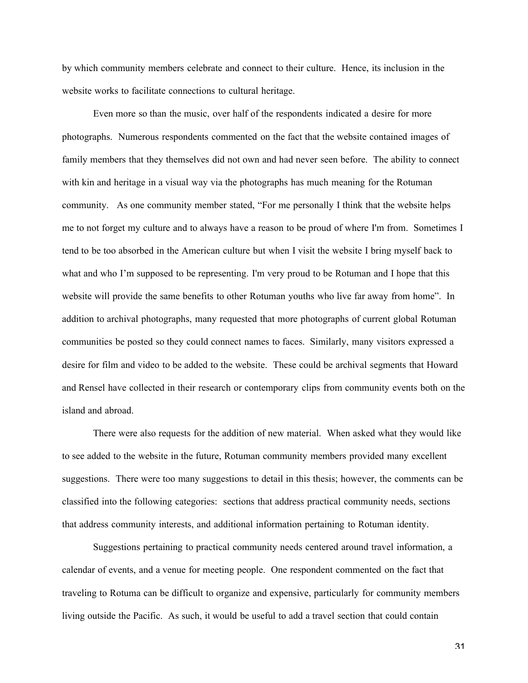by which community members celebrate and connect to their culture. Hence, its inclusion in the website works to facilitate connections to cultural heritage.

Even more so than the music, over half of the respondents indicated a desire for more photographs. Numerous respondents commented on the fact that the website contained images of family members that they themselves did not own and had never seen before. The ability to connect with kin and heritage in a visual way via the photographs has much meaning for the Rotuman community. As one community member stated, "For me personally I think that the website helps me to not forget my culture and to always have a reason to be proud of where I'm from. Sometimes I tend to be too absorbed in the American culture but when I visit the website I bring myself back to what and who I'm supposed to be representing. I'm very proud to be Rotuman and I hope that this website will provide the same benefits to other Rotuman youths who live far away from home". In addition to archival photographs, many requested that more photographs of current global Rotuman communities be posted so they could connect names to faces. Similarly, many visitors expressed a desire for film and video to be added to the website. These could be archival segments that Howard and Rensel have collected in their research or contemporary clips from community events both on the island and abroad.

There were also requests for the addition of new material. When asked what they would like to see added to the website in the future, Rotuman community members provided many excellent suggestions. There were too many suggestions to detail in this thesis; however, the comments can be classified into the following categories: sections that address practical community needs, sections that address community interests, and additional information pertaining to Rotuman identity.

Suggestions pertaining to practical community needs centered around travel information, a calendar of events, and a venue for meeting people. One respondent commented on the fact that traveling to Rotuma can be difficult to organize and expensive, particularly for community members living outside the Pacific. As such, it would be useful to add a travel section that could contain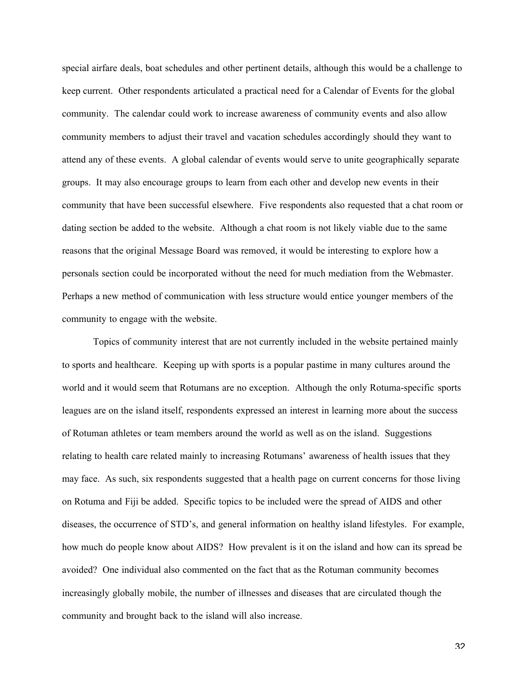special airfare deals, boat schedules and other pertinent details, although this would be a challenge to keep current. Other respondents articulated a practical need for a Calendar of Events for the global community. The calendar could work to increase awareness of community events and also allow community members to adjust their travel and vacation schedules accordingly should they want to attend any of these events. A global calendar of events would serve to unite geographically separate groups. It may also encourage groups to learn from each other and develop new events in their community that have been successful elsewhere. Five respondents also requested that a chat room or dating section be added to the website. Although a chat room is not likely viable due to the same reasons that the original Message Board was removed, it would be interesting to explore how a personals section could be incorporated without the need for much mediation from the Webmaster. Perhaps a new method of communication with less structure would entice younger members of the community to engage with the website.

Topics of community interest that are not currently included in the website pertained mainly to sports and healthcare. Keeping up with sports is a popular pastime in many cultures around the world and it would seem that Rotumans are no exception. Although the only Rotuma-specific sports leagues are on the island itself, respondents expressed an interest in learning more about the success of Rotuman athletes or team members around the world as well as on the island. Suggestions relating to health care related mainly to increasing Rotumans' awareness of health issues that they may face. As such, six respondents suggested that a health page on current concerns for those living on Rotuma and Fiji be added. Specific topics to be included were the spread of AIDS and other diseases, the occurrence of STD's, and general information on healthy island lifestyles. For example, how much do people know about AIDS? How prevalent is it on the island and how can its spread be avoided? One individual also commented on the fact that as the Rotuman community becomes increasingly globally mobile, the number of illnesses and diseases that are circulated though the community and brought back to the island will also increase.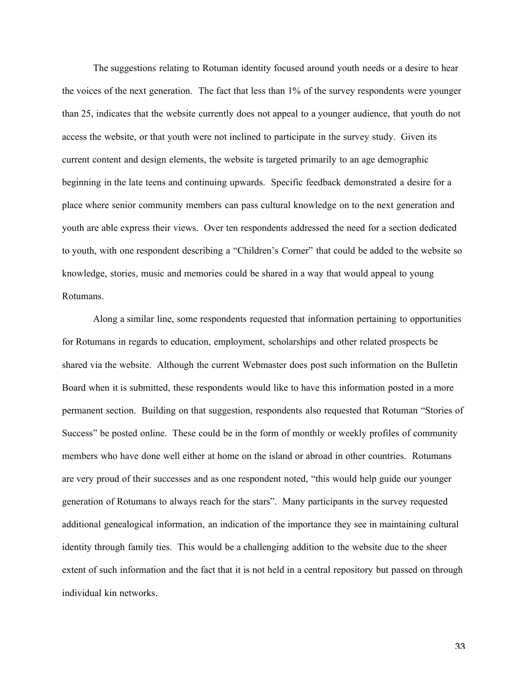The suggestions relating to Rotuman identity focused around youth needs or a desire to hear the voices of the next generation. The fact that less than 1% of the survey respondents were younger than 25, indicates that the website currently does not appeal to a younger audience, that youth do not access the website, or that youth were not inclined to participate in the survey study. Given its current content and design elements, the website is targeted primarily to an age demographic beginning in the late teens and continuing upwards. Specific feedback demonstrated a desire for a place where senior community members can pass cultural knowledge on to the next generation and youth are able express their views. Over ten respondents addressed the need for a section dedicated to youth, with one respondent describing a "Children's Corner" that could be added to the website so knowledge, stories, music and memories could be shared in a way that would appeal to young Rotumans.

Along a similar line, some respondents requested that information pertaining to opportunities for Rotumans in regards to education, employment, scholarships and other related prospects be shared via the website. Although the current Webmaster does post such information on the Bulletin Board when it is submitted, these respondents would like to have this information posted in a more permanent section. Building on that suggestion, respondents also requested that Rotuman "Stories of Success" be posted online. These could be in the form of monthly or weekly profiles of community members who have done well either at home on the island or abroad in other countries. Rotumans are very proud of their successes and as one respondent noted, "this would help guide our younger generation of Rotumans to always reach for the stars". Many participants in the survey requested additional genealogical information, an indication of the importance they see in maintaining cultural identity through family ties. This would be a challenging addition to the website due to the sheer extent of such information and the fact that it is not held in a central repository but passed on through individual kin networks.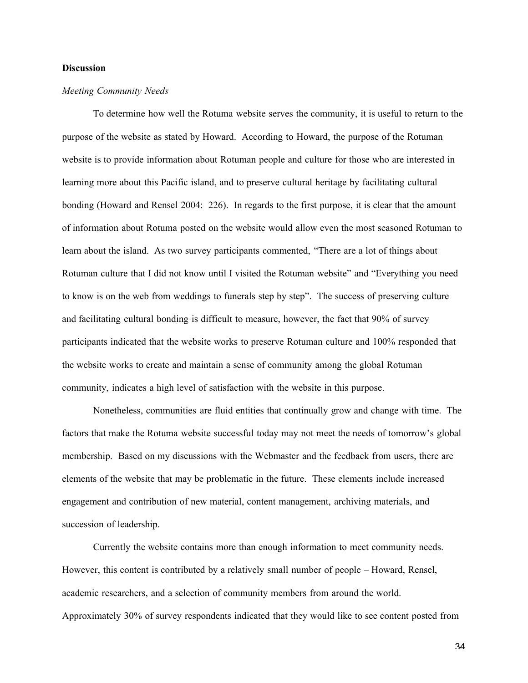#### **Discussion**

#### *Meeting Community Needs*

To determine how well the Rotuma website serves the community, it is useful to return to the purpose of the website as stated by Howard. According to Howard, the purpose of the Rotuman website is to provide information about Rotuman people and culture for those who are interested in learning more about this Pacific island, and to preserve cultural heritage by facilitating cultural bonding (Howard and Rensel 2004: 226). In regards to the first purpose, it is clear that the amount of information about Rotuma posted on the website would allow even the most seasoned Rotuman to learn about the island. As two survey participants commented, "There are a lot of things about Rotuman culture that I did not know until I visited the Rotuman website" and "Everything you need to know is on the web from weddings to funerals step by step". The success of preserving culture and facilitating cultural bonding is difficult to measure, however, the fact that 90% of survey participants indicated that the website works to preserve Rotuman culture and 100% responded that the website works to create and maintain a sense of community among the global Rotuman community, indicates a high level of satisfaction with the website in this purpose.

Nonetheless, communities are fluid entities that continually grow and change with time. The factors that make the Rotuma website successful today may not meet the needs of tomorrow's global membership. Based on my discussions with the Webmaster and the feedback from users, there are elements of the website that may be problematic in the future. These elements include increased engagement and contribution of new material, content management, archiving materials, and succession of leadership.

Currently the website contains more than enough information to meet community needs. However, this content is contributed by a relatively small number of people – Howard, Rensel, academic researchers, and a selection of community members from around the world. Approximately 30% of survey respondents indicated that they would like to see content posted from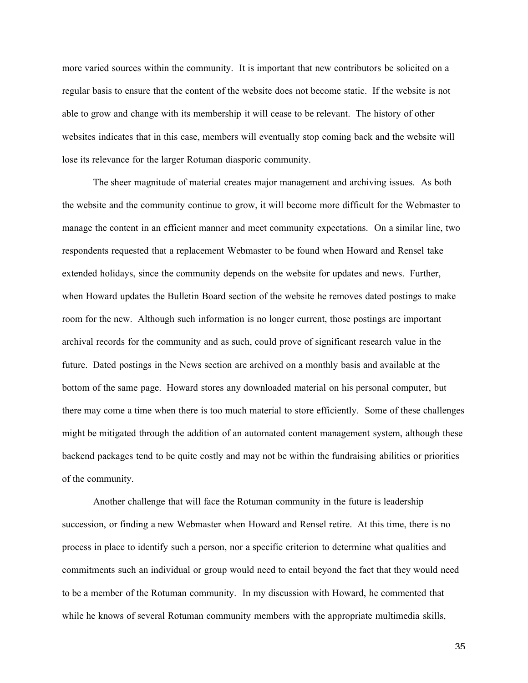more varied sources within the community. It is important that new contributors be solicited on a regular basis to ensure that the content of the website does not become static. If the website is not able to grow and change with its membership it will cease to be relevant. The history of other websites indicates that in this case, members will eventually stop coming back and the website will lose its relevance for the larger Rotuman diasporic community.

The sheer magnitude of material creates major management and archiving issues. As both the website and the community continue to grow, it will become more difficult for the Webmaster to manage the content in an efficient manner and meet community expectations. On a similar line, two respondents requested that a replacement Webmaster to be found when Howard and Rensel take extended holidays, since the community depends on the website for updates and news. Further, when Howard updates the Bulletin Board section of the website he removes dated postings to make room for the new. Although such information is no longer current, those postings are important archival records for the community and as such, could prove of significant research value in the future. Dated postings in the News section are archived on a monthly basis and available at the bottom of the same page. Howard stores any downloaded material on his personal computer, but there may come a time when there is too much material to store efficiently. Some of these challenges might be mitigated through the addition of an automated content management system, although these backend packages tend to be quite costly and may not be within the fundraising abilities or priorities of the community.

Another challenge that will face the Rotuman community in the future is leadership succession, or finding a new Webmaster when Howard and Rensel retire. At this time, there is no process in place to identify such a person, nor a specific criterion to determine what qualities and commitments such an individual or group would need to entail beyond the fact that they would need to be a member of the Rotuman community. In my discussion with Howard, he commented that while he knows of several Rotuman community members with the appropriate multimedia skills,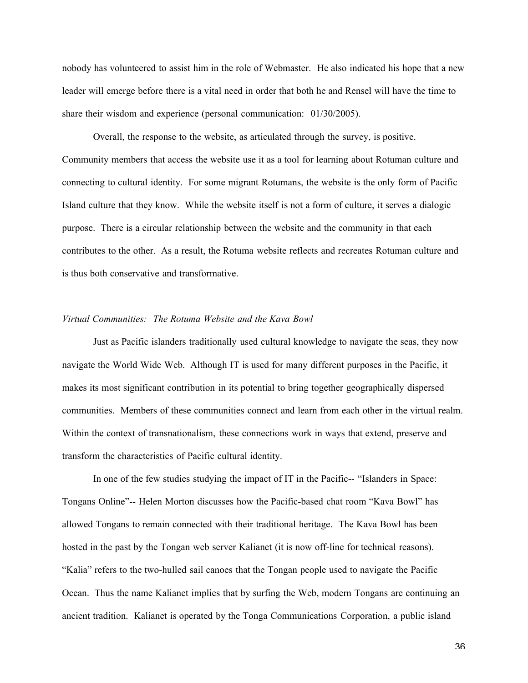nobody has volunteered to assist him in the role of Webmaster. He also indicated his hope that a new leader will emerge before there is a vital need in order that both he and Rensel will have the time to share their wisdom and experience (personal communication: 01/30/2005).

Overall, the response to the website, as articulated through the survey, is positive. Community members that access the website use it as a tool for learning about Rotuman culture and connecting to cultural identity. For some migrant Rotumans, the website is the only form of Pacific Island culture that they know. While the website itself is not a form of culture, it serves a dialogic purpose. There is a circular relationship between the website and the community in that each contributes to the other. As a result, the Rotuma website reflects and recreates Rotuman culture and is thus both conservative and transformative.

## *Virtual Communities: The Rotuma Website and the Kava Bowl*

Just as Pacific islanders traditionally used cultural knowledge to navigate the seas, they now navigate the World Wide Web. Although IT is used for many different purposes in the Pacific, it makes its most significant contribution in its potential to bring together geographically dispersed communities. Members of these communities connect and learn from each other in the virtual realm. Within the context of transnationalism, these connections work in ways that extend, preserve and transform the characteristics of Pacific cultural identity.

In one of the few studies studying the impact of IT in the Pacific-- "Islanders in Space: Tongans Online"-- Helen Morton discusses how the Pacific-based chat room "Kava Bowl" has allowed Tongans to remain connected with their traditional heritage. The Kava Bowl has been hosted in the past by the Tongan web server Kalianet (it is now off-line for technical reasons). "Kalia" refers to the two-hulled sail canoes that the Tongan people used to navigate the Pacific Ocean. Thus the name Kalianet implies that by surfing the Web, modern Tongans are continuing an ancient tradition. Kalianet is operated by the Tonga Communications Corporation, a public island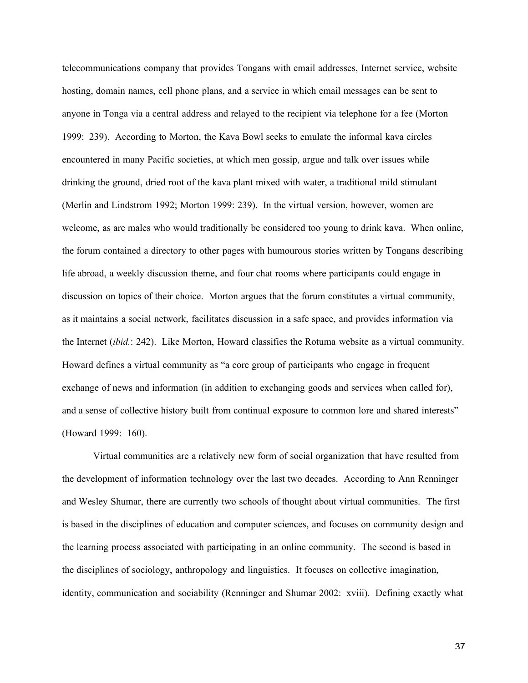telecommunications company that provides Tongans with email addresses, Internet service, website hosting, domain names, cell phone plans, and a service in which email messages can be sent to anyone in Tonga via a central address and relayed to the recipient via telephone for a fee (Morton 1999: 239). According to Morton, the Kava Bowl seeks to emulate the informal kava circles encountered in many Pacific societies, at which men gossip, argue and talk over issues while drinking the ground, dried root of the kava plant mixed with water, a traditional mild stimulant (Merlin and Lindstrom 1992; Morton 1999: 239). In the virtual version, however, women are welcome, as are males who would traditionally be considered too young to drink kava. When online, the forum contained a directory to other pages with humourous stories written by Tongans describing life abroad, a weekly discussion theme, and four chat rooms where participants could engage in discussion on topics of their choice. Morton argues that the forum constitutes a virtual community, as it maintains a social network, facilitates discussion in a safe space, and provides information via the Internet (*ibid.*: 242). Like Morton, Howard classifies the Rotuma website as a virtual community. Howard defines a virtual community as "a core group of participants who engage in frequent exchange of news and information (in addition to exchanging goods and services when called for), and a sense of collective history built from continual exposure to common lore and shared interests" (Howard 1999: 160).

Virtual communities are a relatively new form of social organization that have resulted from the development of information technology over the last two decades. According to Ann Renninger and Wesley Shumar, there are currently two schools of thought about virtual communities. The first is based in the disciplines of education and computer sciences, and focuses on community design and the learning process associated with participating in an online community. The second is based in the disciplines of sociology, anthropology and linguistics. It focuses on collective imagination, identity, communication and sociability (Renninger and Shumar 2002: xviii). Defining exactly what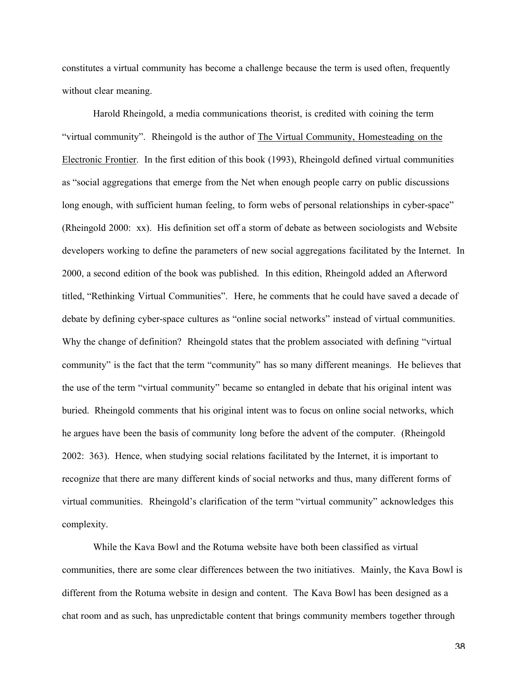constitutes a virtual community has become a challenge because the term is used often, frequently without clear meaning.

Harold Rheingold, a media communications theorist, is credited with coining the term "virtual community". Rheingold is the author of The Virtual Community, Homesteading on the Electronic Frontier. In the first edition of this book (1993), Rheingold defined virtual communities as "social aggregations that emerge from the Net when enough people carry on public discussions long enough, with sufficient human feeling, to form webs of personal relationships in cyber-space" (Rheingold 2000: xx). His definition set off a storm of debate as between sociologists and Website developers working to define the parameters of new social aggregations facilitated by the Internet. In 2000, a second edition of the book was published. In this edition, Rheingold added an Afterword titled, "Rethinking Virtual Communities". Here, he comments that he could have saved a decade of debate by defining cyber-space cultures as "online social networks" instead of virtual communities. Why the change of definition? Rheingold states that the problem associated with defining "virtual" community" is the fact that the term "community" has so many different meanings. He believes that the use of the term "virtual community" became so entangled in debate that his original intent was buried. Rheingold comments that his original intent was to focus on online social networks, which he argues have been the basis of community long before the advent of the computer. (Rheingold 2002: 363). Hence, when studying social relations facilitated by the Internet, it is important to recognize that there are many different kinds of social networks and thus, many different forms of virtual communities. Rheingold's clarification of the term "virtual community" acknowledges this complexity.

While the Kava Bowl and the Rotuma website have both been classified as virtual communities, there are some clear differences between the two initiatives. Mainly, the Kava Bowl is different from the Rotuma website in design and content. The Kava Bowl has been designed as a chat room and as such, has unpredictable content that brings community members together through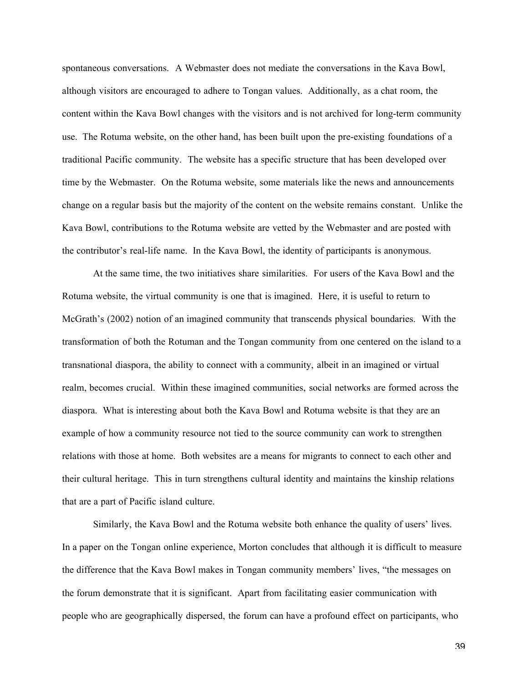spontaneous conversations. A Webmaster does not mediate the conversations in the Kava Bowl, although visitors are encouraged to adhere to Tongan values. Additionally, as a chat room, the content within the Kava Bowl changes with the visitors and is not archived for long-term community use. The Rotuma website, on the other hand, has been built upon the pre-existing foundations of a traditional Pacific community. The website has a specific structure that has been developed over time by the Webmaster. On the Rotuma website, some materials like the news and announcements change on a regular basis but the majority of the content on the website remains constant. Unlike the Kava Bowl, contributions to the Rotuma website are vetted by the Webmaster and are posted with the contributor's real-life name. In the Kava Bowl, the identity of participants is anonymous.

At the same time, the two initiatives share similarities. For users of the Kava Bowl and the Rotuma website, the virtual community is one that is imagined. Here, it is useful to return to McGrath's (2002) notion of an imagined community that transcends physical boundaries. With the transformation of both the Rotuman and the Tongan community from one centered on the island to a transnational diaspora, the ability to connect with a community, albeit in an imagined or virtual realm, becomes crucial. Within these imagined communities, social networks are formed across the diaspora. What is interesting about both the Kava Bowl and Rotuma website is that they are an example of how a community resource not tied to the source community can work to strengthen relations with those at home. Both websites are a means for migrants to connect to each other and their cultural heritage. This in turn strengthens cultural identity and maintains the kinship relations that are a part of Pacific island culture.

Similarly, the Kava Bowl and the Rotuma website both enhance the quality of users' lives. In a paper on the Tongan online experience, Morton concludes that although it is difficult to measure the difference that the Kava Bowl makes in Tongan community members' lives, "the messages on the forum demonstrate that it is significant. Apart from facilitating easier communication with people who are geographically dispersed, the forum can have a profound effect on participants, who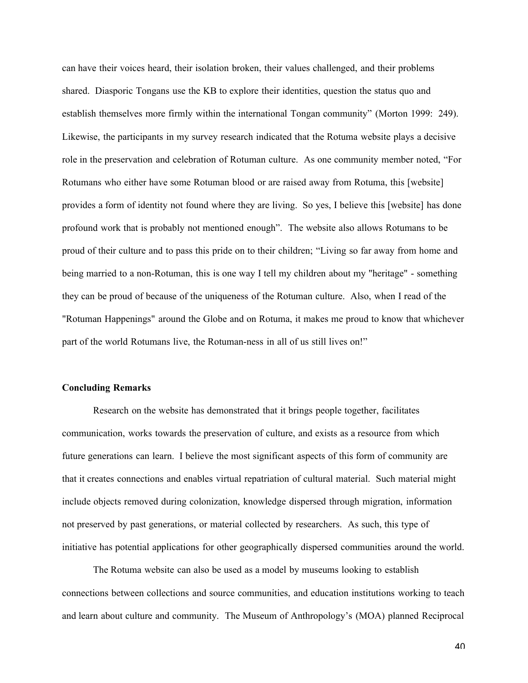can have their voices heard, their isolation broken, their values challenged, and their problems shared. Diasporic Tongans use the KB to explore their identities, question the status quo and establish themselves more firmly within the international Tongan community" (Morton 1999: 249). Likewise, the participants in my survey research indicated that the Rotuma website plays a decisive role in the preservation and celebration of Rotuman culture. As one community member noted, "For Rotumans who either have some Rotuman blood or are raised away from Rotuma, this [website] provides a form of identity not found where they are living. So yes, I believe this [website] has done profound work that is probably not mentioned enough". The website also allows Rotumans to be proud of their culture and to pass this pride on to their children; "Living so far away from home and being married to a non-Rotuman, this is one way I tell my children about my "heritage" - something they can be proud of because of the uniqueness of the Rotuman culture. Also, when I read of the "Rotuman Happenings" around the Globe and on Rotuma, it makes me proud to know that whichever part of the world Rotumans live, the Rotuman-ness in all of us still lives on!"

#### Concluding Remarks

Research on the website has demonstrated that it brings people together, facilitates communication, works towards the preservation of culture, and exists as a resource from which future generations can learn. I believe the most significant aspects of this form of community are that it creates connections and enables virtual repatriation of cultural material. Such material might include objects removed during colonization, knowledge dispersed through migration, information not preserved by past generations, or material collected by researchers. As such, this type of initiative has potential applications for other geographically dispersed communities around the world.

The Rotuma website can also be used as a model by museums looking to establish connections between collections and source communities, and education institutions working to teach and learn about culture and community. The Museum of Anthropology's (MOA) planned Reciprocal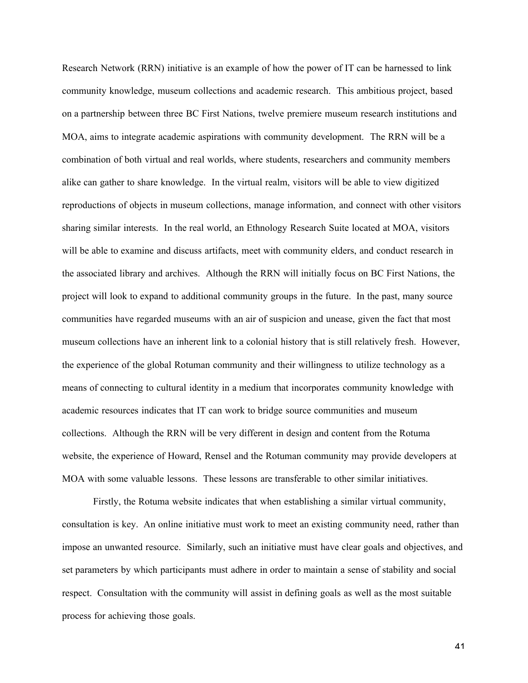Research Network (RRN) initiative is an example of how the power of IT can be harnessed to link community knowledge, museum collections and academic research. This ambitious project, based on a partnership between three BC First Nations, twelve premiere museum research institutions and MOA, aims to integrate academic aspirations with community development. The RRN will be a combination of both virtual and real worlds, where students, researchers and community members alike can gather to share knowledge. In the virtual realm, visitors will be able to view digitized reproductions of objects in museum collections, manage information, and connect with other visitors sharing similar interests. In the real world, an Ethnology Research Suite located at MOA, visitors will be able to examine and discuss artifacts, meet with community elders, and conduct research in the associated library and archives. Although the RRN will initially focus on BC First Nations, the project will look to expand to additional community groups in the future. In the past, many source communities have regarded museums with an air of suspicion and unease, given the fact that most museum collections have an inherent link to a colonial history that is still relatively fresh. However, the experience of the global Rotuman community and their willingness to utilize technology as a means of connecting to cultural identity in a medium that incorporates community knowledge with academic resources indicates that IT can work to bridge source communities and museum collections. Although the RRN will be very different in design and content from the Rotuma website, the experience of Howard, Rensel and the Rotuman community may provide developers at MOA with some valuable lessons. These lessons are transferable to other similar initiatives.

Firstly, the Rotuma website indicates that when establishing a similar virtual community, consultation is key. An online initiative must work to meet an existing community need, rather than impose an unwanted resource. Similarly, such an initiative must have clear goals and objectives, and set parameters by which participants must adhere in order to maintain a sense of stability and social respect. Consultation with the community will assist in defining goals as well as the most suitable process for achieving those goals.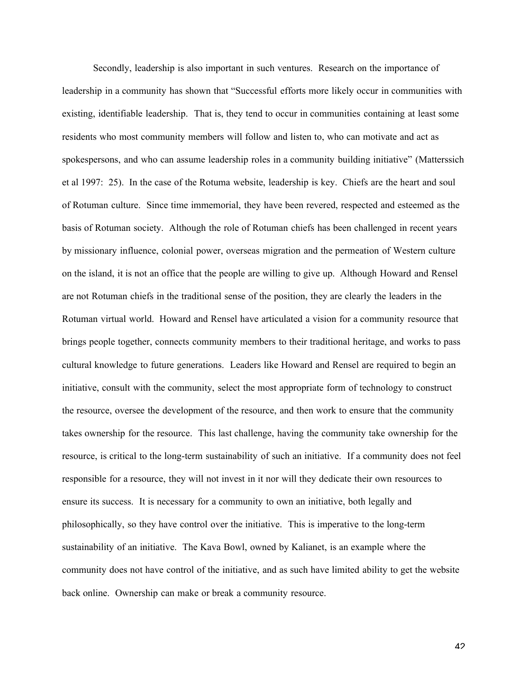Secondly, leadership is also important in such ventures. Research on the importance of leadership in a community has shown that "Successful efforts more likely occur in communities with existing, identifiable leadership. That is, they tend to occur in communities containing at least some residents who most community members will follow and listen to, who can motivate and act as spokespersons, and who can assume leadership roles in a community building initiative" (Matterssich et al 1997: 25). In the case of the Rotuma website, leadership is key. Chiefs are the heart and soul of Rotuman culture. Since time immemorial, they have been revered, respected and esteemed as the basis of Rotuman society. Although the role of Rotuman chiefs has been challenged in recent years by missionary influence, colonial power, overseas migration and the permeation of Western culture on the island, it is not an office that the people are willing to give up. Although Howard and Rensel are not Rotuman chiefs in the traditional sense of the position, they are clearly the leaders in the Rotuman virtual world. Howard and Rensel have articulated a vision for a community resource that brings people together, connects community members to their traditional heritage, and works to pass cultural knowledge to future generations. Leaders like Howard and Rensel are required to begin an initiative, consult with the community, select the most appropriate form of technology to construct the resource, oversee the development of the resource, and then work to ensure that the community takes ownership for the resource. This last challenge, having the community take ownership for the resource, is critical to the long-term sustainability of such an initiative. If a community does not feel responsible for a resource, they will not invest in it nor will they dedicate their own resources to ensure its success. It is necessary for a community to own an initiative, both legally and philosophically, so they have control over the initiative. This is imperative to the long-term sustainability of an initiative. The Kava Bowl, owned by Kalianet, is an example where the community does not have control of the initiative, and as such have limited ability to get the website back online. Ownership can make or break a community resource.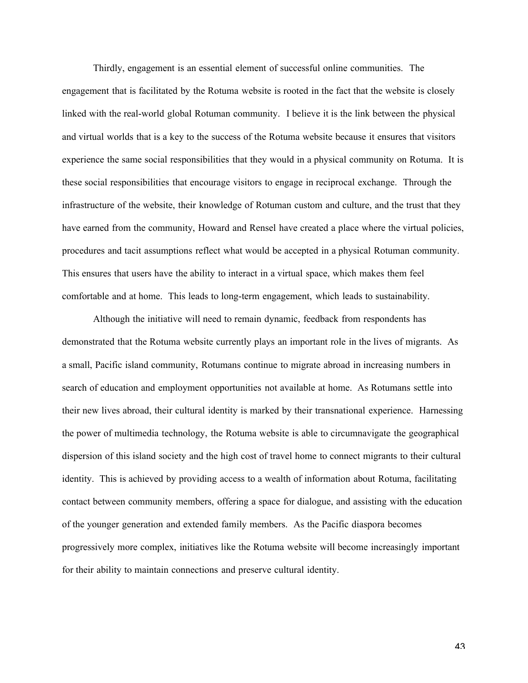Thirdly, engagement is an essential element of successful online communities. The engagement that is facilitated by the Rotuma website is rooted in the fact that the website is closely linked with the real-world global Rotuman community. I believe it is the link between the physical and virtual worlds that is a key to the success of the Rotuma website because it ensures that visitors experience the same social responsibilities that they would in a physical community on Rotuma. It is these social responsibilities that encourage visitors to engage in reciprocal exchange. Through the infrastructure of the website, their knowledge of Rotuman custom and culture, and the trust that they have earned from the community, Howard and Rensel have created a place where the virtual policies, procedures and tacit assumptions reflect what would be accepted in a physical Rotuman community. This ensures that users have the ability to interact in a virtual space, which makes them feel comfortable and at home. This leads to long-term engagement, which leads to sustainability.

Although the initiative will need to remain dynamic, feedback from respondents has demonstrated that the Rotuma website currently plays an important role in the lives of migrants. As a small, Pacific island community, Rotumans continue to migrate abroad in increasing numbers in search of education and employment opportunities not available at home. As Rotumans settle into their new lives abroad, their cultural identity is marked by their transnational experience. Harnessing the power of multimedia technology, the Rotuma website is able to circumnavigate the geographical dispersion of this island society and the high cost of travel home to connect migrants to their cultural identity. This is achieved by providing access to a wealth of information about Rotuma, facilitating contact between community members, offering a space for dialogue, and assisting with the education of the younger generation and extended family members. As the Pacific diaspora becomes progressively more complex, initiatives like the Rotuma website will become increasingly important for their ability to maintain connections and preserve cultural identity.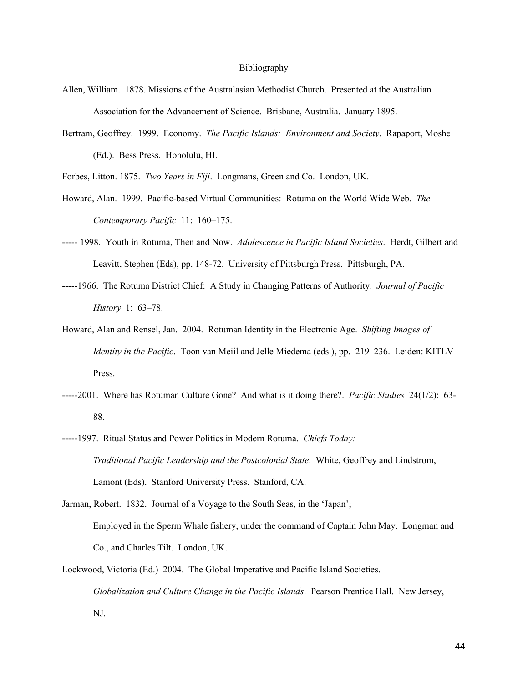#### Bibliography

- Allen, William. 1878. Missions of the Australasian Methodist Church. Presented at the Australian Association for the Advancement of Science. Brisbane, Australia. January 1895.
- Bertram, Geoffrey. 1999. Economy. *The Pacific Islands: Environment and Society*. Rapaport, Moshe (Ed.). Bess Press. Honolulu, HI.
- Forbes, Litton. 1875. *Two Years in Fiji*. Longmans, Green and Co. London, UK.
- Howard, Alan. 1999. Pacific-based Virtual Communities: Rotuma on the World Wide Web. *The Contemporary Pacific* 11: 160–175.
- ----- 1998. Youth in Rotuma, Then and Now. *Adolescence in Pacific Island Societies*. Herdt, Gilbert and Leavitt, Stephen (Eds), pp. 148-72. University of Pittsburgh Press. Pittsburgh, PA.
- -----1966. The Rotuma District Chief: A Study in Changing Patterns of Authority. *Journal of Pacific History* 1: 63–78.
- Howard, Alan and Rensel, Jan. 2004. Rotuman Identity in the Electronic Age. *Shifting Images of Identity in the Pacific*. Toon van Meiil and Jelle Miedema (eds.), pp. 219–236. Leiden: KITLV Press.
- -----2001. Where has Rotuman Culture Gone? And what is it doing there?. *Pacific Studies* 24(1/2): 63- 88.
- -----1997. Ritual Status and Power Politics in Modern Rotuma. *Chiefs Today: Traditional Pacific Leadership and the Postcolonial State*. White, Geoffrey and Lindstrom, Lamont (Eds). Stanford University Press. Stanford, CA.
- Jarman, Robert. 1832. Journal of a Voyage to the South Seas, in the 'Japan'; Employed in the Sperm Whale fishery, under the command of Captain John May. Longman and Co., and Charles Tilt. London, UK.
- Lockwood, Victoria (Ed.) 2004. The Global Imperative and Pacific Island Societies. *Globalization and Culture Change in the Pacific Islands*. Pearson Prentice Hall. New Jersey, NJ.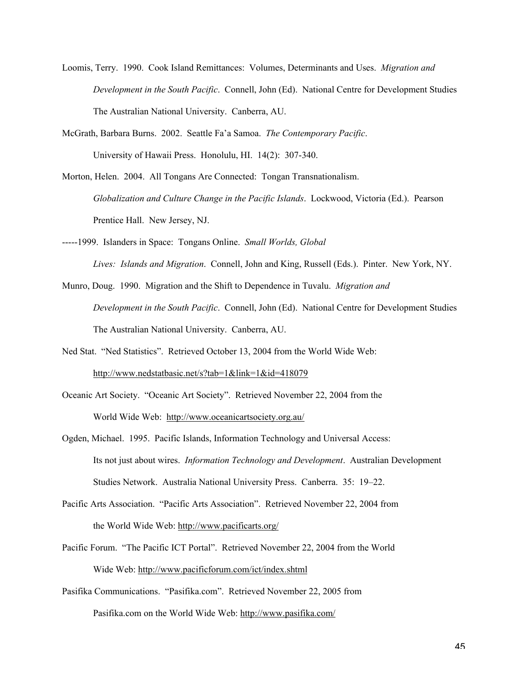- Loomis, Terry. 1990. Cook Island Remittances: Volumes, Determinants and Uses. *Migration and Development in the South Pacific*. Connell, John (Ed). National Centre for Development Studies The Australian National University. Canberra, AU.
- McGrath, Barbara Burns. 2002. Seattle Fa'a Samoa. *The Contemporary Pacific*. University of Hawaii Press. Honolulu, HI. 14(2): 307-340.

Morton, Helen. 2004. All Tongans Are Connected: Tongan Transnationalism. *Globalization and Culture Change in the Pacific Islands*. Lockwood, Victoria (Ed.). Pearson Prentice Hall. New Jersey, NJ.

-----1999. Islanders in Space: Tongans Online. *Small Worlds, Global*

*Lives: Islands and Migration*. Connell, John and King, Russell (Eds.). Pinter. New York, NY.

- Munro, Doug. 1990. Migration and the Shift to Dependence in Tuvalu. *Migration and Development in the South Pacific*. Connell, John (Ed). National Centre for Development Studies The Australian National University. Canberra, AU.
- Ned Stat. "Ned Statistics". Retrieved October 13, 2004 from the World Wide Web:

http://www.nedstatbasic.net/s?tab=1&link=1&id=418079

- Oceanic Art Society. "Oceanic Art Society". Retrieved November 22, 2004 from the World Wide Web: http://www.oceanicartsociety.org.au/
- Ogden, Michael. 1995. Pacific Islands, Information Technology and Universal Access: Its not just about wires. *Information Technology and Development*. Australian Development Studies Network. Australia National University Press. Canberra. 35: 19–22.
- Pacific Arts Association. "Pacific Arts Association". Retrieved November 22, 2004 from the World Wide Web: http://www.pacificarts.org/
- Pacific Forum. "The Pacific ICT Portal". Retrieved November 22, 2004 from the World Wide Web: http://www.pacificforum.com/ict/index.shtml
- Pasifika Communications. "Pasifika.com". Retrieved November 22, 2005 from Pasifika.com on the World Wide Web: http://www.pasifika.com/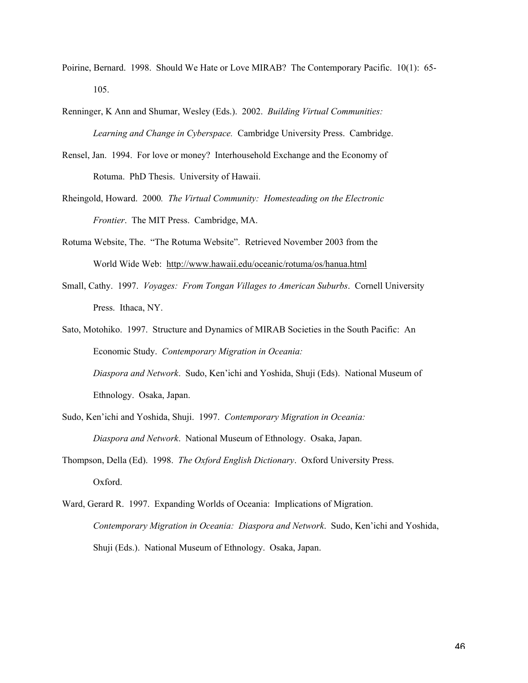- Poirine, Bernard. 1998. Should We Hate or Love MIRAB? The Contemporary Pacific. 10(1): 65- 105.
- Renninger, K Ann and Shumar, Wesley (Eds.). 2002. *Building Virtual Communities: Learning and Change in Cyberspace.* Cambridge University Press. Cambridge.
- Rensel, Jan. 1994. For love or money? Interhousehold Exchange and the Economy of Rotuma. PhD Thesis. University of Hawaii.
- Rheingold, Howard. 2000*. The Virtual Community: Homesteading on the Electronic Frontier*. The MIT Press. Cambridge, MA.
- Rotuma Website, The. "The Rotuma Website". Retrieved November 2003 from the World Wide Web: http://www.hawaii.edu/oceanic/rotuma/os/hanua.html
- Small, Cathy. 1997. *Voyages: From Tongan Villages to American Suburbs*. Cornell University Press. Ithaca, NY.
- Sato, Motohiko. 1997. Structure and Dynamics of MIRAB Societies in the South Pacific: An Economic Study. *Contemporary Migration in Oceania:*

*Diaspora and Network*. Sudo, Ken'ichi and Yoshida, Shuji (Eds). National Museum of Ethnology. Osaka, Japan.

- Sudo, Ken'ichi and Yoshida, Shuji. 1997. *Contemporary Migration in Oceania: Diaspora and Network*. National Museum of Ethnology. Osaka, Japan.
- Thompson, Della (Ed). 1998. *The Oxford English Dictionary*. Oxford University Press. Oxford.
- Ward, Gerard R. 1997. Expanding Worlds of Oceania: Implications of Migration. *Contemporary Migration in Oceania: Diaspora and Network*. Sudo, Ken'ichi and Yoshida, Shuji (Eds.). National Museum of Ethnology. Osaka, Japan.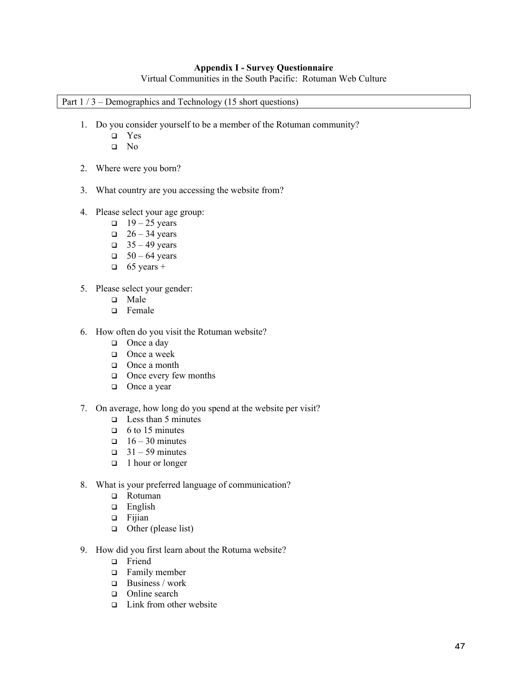## Appendix I - Survey Questionnaire

Virtual Communities in the South Pacific: Rotuman Web Culture

## Part  $1/3$  – Demographics and Technology (15 short questions)

- 1. Do you consider yourself to be a member of the Rotuman community?
	- Yes
	- No
- 2. Where were you born?
- 3. What country are you accessing the website from?
- 4. Please select your age group:
	- $\Box$  19 25 years
	- $\Box$  26 34 years
	- $\Box$  35 49 years
	- $\Box$  50 64 years
	- $\Box$  65 years +
- 5. Please select your gender:
	- **D** Male
	- □ Female
- 6. How often do you visit the Rotuman website?
	- $\Box$  Once a day
	- $\Box$  Once a week
	- $\Box$  Once a month
	- $\Box$  Once every few months
	- $\Box$  Once a year
- 7. On average, how long do you spend at the website per visit?
	- $\Box$  Less than 5 minutes
	- $\Box$  6 to 15 minutes
	- $\Box$  16 30 minutes
	- $\Box$  31 59 minutes
	- $\Box$  1 hour or longer
- 8. What is your preferred language of communication?
	- □ Rotuman
	- $\Box$  English
	- $\Box$  Fijian
	- $\Box$  Other (please list)
- 9. How did you first learn about the Rotuma website?
	- □ Friend
	- Family member
	- $\Box$  Business / work
	- □ Online search
	- $\Box$  Link from other website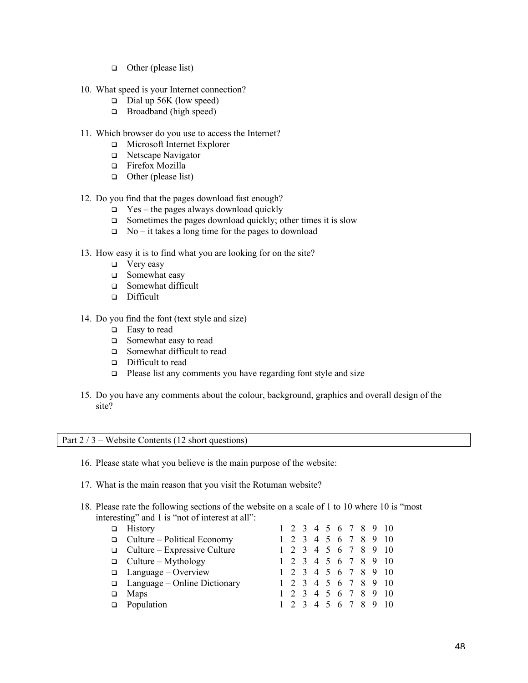- $\Box$  Other (please list)
- 10. What speed is your Internet connection?
	- $\Box$  Dial up 56K (low speed)
	- $\Box$  Broadband (high speed)
- 11. Which browser do you use to access the Internet?
	- Microsoft Internet Explorer
	- □ Netscape Navigator
	- □ Firefox Mozilla
	- $\Box$  Other (please list)
- 12. Do you find that the pages download fast enough?
	- $\Box$  Yes the pages always download quickly
	- $\Box$  Sometimes the pages download quickly; other times it is slow
	- $\Box$  No it takes a long time for the pages to download
- 13. How easy it is to find what you are looking for on the site?
	- $\Box$  Very easy
	- □ Somewhat easy
	- □ Somewhat difficult
	- Difficult
- 14. Do you find the font (text style and size)
	- $\Box$  Easy to read
	- Somewhat easy to read
	- □ Somewhat difficult to read
	- Difficult to read
	- $\Box$  Please list any comments you have regarding font style and size
- 15. Do you have any comments about the colour, background, graphics and overall design of the site?

Part 2 / 3 – Website Contents (12 short questions)

- 16. Please state what you believe is the main purpose of the website:
- 17. What is the main reason that you visit the Rotuman website?
- 18. Please rate the following sections of the website on a scale of 1 to 10 where 10 is "most interesting" and 1 is "not of interest at all":

| $\Box$ History                      |  |  |  |  | 1 2 3 4 5 6 7 8 9 10 |
|-------------------------------------|--|--|--|--|----------------------|
| $\Box$ Culture – Political Economy  |  |  |  |  | 1 2 3 4 5 6 7 8 9 10 |
| $\Box$ Culture – Expressive Culture |  |  |  |  | 1 2 3 4 5 6 7 8 9 10 |
| $\Box$ Culture – Mythology          |  |  |  |  | 1 2 3 4 5 6 7 8 9 10 |
| $\Box$ Language – Overview          |  |  |  |  | 1 2 3 4 5 6 7 8 9 10 |
| $\Box$ Language – Online Dictionary |  |  |  |  | 1 2 3 4 5 6 7 8 9 10 |
| $\Box$ Maps                         |  |  |  |  | 1 2 3 4 5 6 7 8 9 10 |
| $\Box$ Population                   |  |  |  |  | 1 2 3 4 5 6 7 8 9 10 |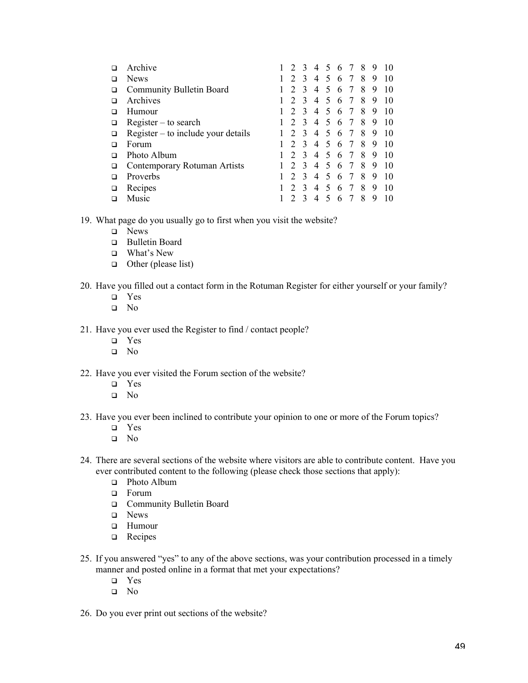| H | Archive                              |               |               | 4              | $\overline{5}$              | 6  | $\overline{7}$ | 8 |   | 10 |
|---|--------------------------------------|---------------|---------------|----------------|-----------------------------|----|----------------|---|---|----|
| П | <b>News</b>                          | $\mathcal{D}$ | 3             | 4              | 5                           | 6  | 7              | 8 | 9 | 10 |
| □ | Community Bulletin Board             |               | $\mathbf{3}$  | 4              | 5                           | 6  | 7              | 8 | 9 | 10 |
| □ | Archives                             |               | $\mathcal{R}$ | $\overline{4}$ | 5                           | 6  | 7              | 8 | 9 | 10 |
| □ | Humour                               | $\mathcal{D}$ | $\mathcal{R}$ | 4              | $\mathcal{F}$               | 6  | 7              | 8 | 9 | 10 |
| □ | $Register - to search$               | $\mathcal{D}$ | $\mathbf{3}$  | $\overline{4}$ | $\mathcal{L}_{\mathcal{L}}$ | 6  | 7              | 8 | 9 | 10 |
| □ | $Register - to include your details$ |               | $\mathcal{R}$ | 4              | 5                           | 6  | 7              | 8 | 9 | 10 |
| □ | Forum                                |               | $\mathcal{R}$ | $\overline{4}$ | 5                           | 6  | -7             | 8 | 9 | 10 |
| n | Photo Album                          |               | $\mathbf{3}$  | 4              | $\sim$                      | -6 | -7             | 8 | 9 | 10 |
| □ | Contemporary Rotuman Artists         |               | $\mathcal{R}$ | $\overline{4}$ | $\varsigma$                 | 6  | 7              | 8 | 9 | 10 |
| П | Proverbs                             |               | $\mathcal{F}$ | $\overline{4}$ | 5                           | 6  | 7              | 8 | 9 | 10 |
| □ | Recipes                              |               | $\mathbf{3}$  | 4              | $\overline{\mathcal{L}}$    | 6  | 7              | 8 | 9 | 10 |
|   | Music                                |               |               | 4              |                             | 6  | 7              | 8 | 9 | 10 |

19. What page do you usually go to first when you visit the website?

- □ News
- Bulletin Board
- What's New
- $\Box$  Other (please list)
- 20. Have you filled out a contact form in the Rotuman Register for either yourself or your family?
	- Yes
	- No
- 21. Have you ever used the Register to find / contact people?
	- Yes
	- No
- 22. Have you ever visited the Forum section of the website?
	- □ Yes
	- $\Box$  No
- 23. Have you ever been inclined to contribute your opinion to one or more of the Forum topics?
	- Yes
	- No
- 24. There are several sections of the website where visitors are able to contribute content. Have you ever contributed content to the following (please check those sections that apply):
	- □ Photo Album
	- **D** Forum
	- Community Bulletin Board
	- **D** News
	- **D** Humour
	- **Q** Recipes
- 25. If you answered "yes" to any of the above sections, was your contribution processed in a timely manner and posted online in a format that met your expectations?
	- Yes
	- No
- 26. Do you ever print out sections of the website?